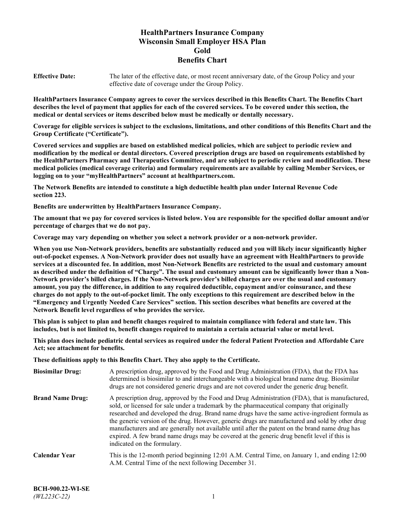# **HealthPartners Insurance Company Wisconsin Small Employer HSA Plan Gold Benefits Chart**

**Effective Date:** The later of the effective date, or most recent anniversary date, of the Group Policy and your effective date of coverage under the Group Policy.

**HealthPartners Insurance Company agrees to cover the services described in this Benefits Chart. The Benefits Chart describes the level of payment that applies for each of the covered services. To be covered under this section, the medical or dental services or items described below must be medically or dentally necessary.**

**Coverage for eligible services is subject to the exclusions, limitations, and other conditions of this Benefits Chart and the Group Certificate ("Certificate").**

**Covered services and supplies are based on established medical policies, which are subject to periodic review and modification by the medical or dental directors. Covered prescription drugs are based on requirements established by the HealthPartners Pharmacy and Therapeutics Committee, and are subject to periodic review and modification. These medical policies (medical coverage criteria) and formulary requirements are available by calling Member Services, or logging on to your "myHealthPartners" account at [healthpartners.com.](https://www.healthpartners.com/hp/index.html)**

**The Network Benefits are intended to constitute a high deductible health plan under Internal Revenue Code section 223.**

**Benefits are underwritten by HealthPartners Insurance Company.**

**The amount that we pay for covered services is listed below. You are responsible for the specified dollar amount and/or percentage of charges that we do not pay.**

**Coverage may vary depending on whether you select a network provider or a non-network provider.**

**When you use Non-Network providers, benefits are substantially reduced and you will likely incur significantly higher out-of-pocket expenses. A Non-Network provider does not usually have an agreement with HealthPartners to provide services at a discounted fee. In addition, most Non-Network Benefits are restricted to the usual and customary amount as described under the definition of "Charge". The usual and customary amount can be significantly lower than a Non-Network provider's billed charges. If the Non-Network provider's billed charges are over the usual and customary amount, you pay the difference, in addition to any required deductible, copayment and/or coinsurance, and these charges do not apply to the out-of-pocket limit. The only exceptions to this requirement are described below in the "Emergency and Urgently Needed Care Services" section. This section describes what benefits are covered at the Network Benefit level regardless of who provides the service.**

**This plan is subject to plan and benefit changes required to maintain compliance with federal and state law. This includes, but is not limited to, benefit changes required to maintain a certain actuarial value or metal level.**

**This plan does include pediatric dental services as required under the federal Patient Protection and Affordable Care Act; see attachment for benefits.**

**These definitions apply to this Benefits Chart. They also apply to the Certificate.**

| <b>Biosimilar Drug:</b> | A prescription drug, approved by the Food and Drug Administration (FDA), that the FDA has<br>determined is biosimilar to and interchangeable with a biological brand name drug. Biosimilar<br>drugs are not considered generic drugs and are not covered under the generic drug benefit.                                                                                                                                                                                                                                                                                                                                           |
|-------------------------|------------------------------------------------------------------------------------------------------------------------------------------------------------------------------------------------------------------------------------------------------------------------------------------------------------------------------------------------------------------------------------------------------------------------------------------------------------------------------------------------------------------------------------------------------------------------------------------------------------------------------------|
| <b>Brand Name Drug:</b> | A prescription drug, approved by the Food and Drug Administration (FDA), that is manufactured,<br>sold, or licensed for sale under a trademark by the pharmaceutical company that originally<br>researched and developed the drug. Brand name drugs have the same active-ingredient formula as<br>the generic version of the drug. However, generic drugs are manufactured and sold by other drug<br>manufacturers and are generally not available until after the patent on the brand name drug has<br>expired. A few brand name drugs may be covered at the generic drug benefit level if this is<br>indicated on the formulary. |
| <b>Calendar Year</b>    | This is the 12-month period beginning 12:01 A.M. Central Time, on January 1, and ending 12:00<br>A.M. Central Time of the next following December 31.                                                                                                                                                                                                                                                                                                                                                                                                                                                                              |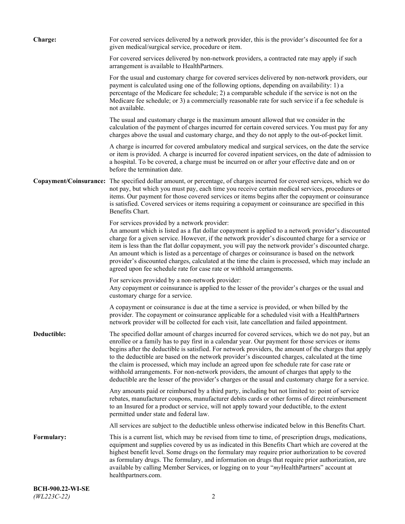| <b>Charge:</b> | For covered services delivered by a network provider, this is the provider's discounted fee for a<br>given medical/surgical service, procedure or item.                                                                                                                                                                                                                                                                                                                                                                                                                                                                                                                                                                 |
|----------------|-------------------------------------------------------------------------------------------------------------------------------------------------------------------------------------------------------------------------------------------------------------------------------------------------------------------------------------------------------------------------------------------------------------------------------------------------------------------------------------------------------------------------------------------------------------------------------------------------------------------------------------------------------------------------------------------------------------------------|
|                | For covered services delivered by non-network providers, a contracted rate may apply if such<br>arrangement is available to HealthPartners.                                                                                                                                                                                                                                                                                                                                                                                                                                                                                                                                                                             |
|                | For the usual and customary charge for covered services delivered by non-network providers, our<br>payment is calculated using one of the following options, depending on availability: 1) a<br>percentage of the Medicare fee schedule; 2) a comparable schedule if the service is not on the<br>Medicare fee schedule; or 3) a commercially reasonable rate for such service if a fee schedule is<br>not available.                                                                                                                                                                                                                                                                                                   |
|                | The usual and customary charge is the maximum amount allowed that we consider in the<br>calculation of the payment of charges incurred for certain covered services. You must pay for any<br>charges above the usual and customary charge, and they do not apply to the out-of-pocket limit.                                                                                                                                                                                                                                                                                                                                                                                                                            |
|                | A charge is incurred for covered ambulatory medical and surgical services, on the date the service<br>or item is provided. A charge is incurred for covered inpatient services, on the date of admission to<br>a hospital. To be covered, a charge must be incurred on or after your effective date and on or<br>before the termination date.                                                                                                                                                                                                                                                                                                                                                                           |
|                | Copayment/Coinsurance: The specified dollar amount, or percentage, of charges incurred for covered services, which we do<br>not pay, but which you must pay, each time you receive certain medical services, procedures or<br>items. Our payment for those covered services or items begins after the copayment or coinsurance<br>is satisfied. Covered services or items requiring a copayment or coinsurance are specified in this<br>Benefits Chart.                                                                                                                                                                                                                                                                 |
|                | For services provided by a network provider:<br>An amount which is listed as a flat dollar copayment is applied to a network provider's discounted<br>charge for a given service. However, if the network provider's discounted charge for a service or<br>item is less than the flat dollar copayment, you will pay the network provider's discounted charge.<br>An amount which is listed as a percentage of charges or coinsurance is based on the network<br>provider's discounted charges, calculated at the time the claim is processed, which may include an<br>agreed upon fee schedule rate for case rate or withhold arrangements.                                                                            |
|                | For services provided by a non-network provider:<br>Any copayment or coinsurance is applied to the lesser of the provider's charges or the usual and<br>customary charge for a service.                                                                                                                                                                                                                                                                                                                                                                                                                                                                                                                                 |
|                | A copayment or coinsurance is due at the time a service is provided, or when billed by the<br>provider. The copayment or coinsurance applicable for a scheduled visit with a HealthPartners<br>network provider will be collected for each visit, late cancellation and failed appointment.                                                                                                                                                                                                                                                                                                                                                                                                                             |
| Deductible:    | The specified dollar amount of charges incurred for covered services, which we do not pay, but an<br>enrollee or a family has to pay first in a calendar year. Our payment for those services or items<br>begins after the deductible is satisfied. For network providers, the amount of the charges that apply<br>to the deductible are based on the network provider's discounted charges, calculated at the time<br>the claim is processed, which may include an agreed upon fee schedule rate for case rate or<br>withhold arrangements. For non-network providers, the amount of charges that apply to the<br>deductible are the lesser of the provider's charges or the usual and customary charge for a service. |
|                | Any amounts paid or reimbursed by a third party, including but not limited to: point of service<br>rebates, manufacturer coupons, manufacturer debits cards or other forms of direct reimbursement<br>to an Insured for a product or service, will not apply toward your deductible, to the extent<br>permitted under state and federal law.                                                                                                                                                                                                                                                                                                                                                                            |
|                | All services are subject to the deductible unless otherwise indicated below in this Benefits Chart.                                                                                                                                                                                                                                                                                                                                                                                                                                                                                                                                                                                                                     |
| Formulary:     | This is a current list, which may be revised from time to time, of prescription drugs, medications,<br>equipment and supplies covered by us as indicated in this Benefits Chart which are covered at the<br>highest benefit level. Some drugs on the formulary may require prior authorization to be covered<br>as formulary drugs. The formulary, and information on drugs that require prior authorization, are<br>available by calling Member Services, or logging on to your "myHealthPartners" account at<br>healthpartners.com.                                                                                                                                                                                   |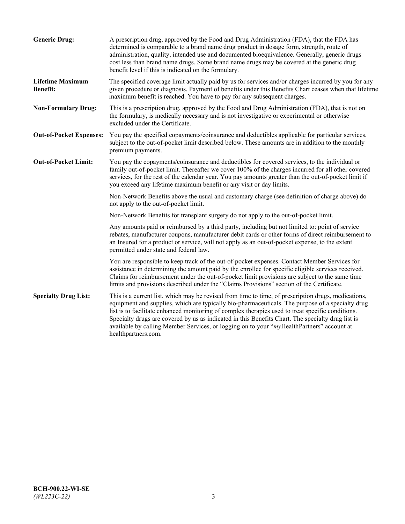| <b>Generic Drug:</b>                       | A prescription drug, approved by the Food and Drug Administration (FDA), that the FDA has<br>determined is comparable to a brand name drug product in dosage form, strength, route of<br>administration, quality, intended use and documented bioequivalence. Generally, generic drugs<br>cost less than brand name drugs. Some brand name drugs may be covered at the generic drug<br>benefit level if this is indicated on the formulary.                                                                                           |
|--------------------------------------------|---------------------------------------------------------------------------------------------------------------------------------------------------------------------------------------------------------------------------------------------------------------------------------------------------------------------------------------------------------------------------------------------------------------------------------------------------------------------------------------------------------------------------------------|
| <b>Lifetime Maximum</b><br><b>Benefit:</b> | The specified coverage limit actually paid by us for services and/or charges incurred by you for any<br>given procedure or diagnosis. Payment of benefits under this Benefits Chart ceases when that lifetime<br>maximum benefit is reached. You have to pay for any subsequent charges.                                                                                                                                                                                                                                              |
| <b>Non-Formulary Drug:</b>                 | This is a prescription drug, approved by the Food and Drug Administration (FDA), that is not on<br>the formulary, is medically necessary and is not investigative or experimental or otherwise<br>excluded under the Certificate.                                                                                                                                                                                                                                                                                                     |
| <b>Out-of-Pocket Expenses:</b>             | You pay the specified copayments/coinsurance and deductibles applicable for particular services,<br>subject to the out-of-pocket limit described below. These amounts are in addition to the monthly<br>premium payments.                                                                                                                                                                                                                                                                                                             |
| <b>Out-of-Pocket Limit:</b>                | You pay the copayments/coinsurance and deductibles for covered services, to the individual or<br>family out-of-pocket limit. Thereafter we cover 100% of the charges incurred for all other covered<br>services, for the rest of the calendar year. You pay amounts greater than the out-of-pocket limit if<br>you exceed any lifetime maximum benefit or any visit or day limits.                                                                                                                                                    |
|                                            | Non-Network Benefits above the usual and customary charge (see definition of charge above) do<br>not apply to the out-of-pocket limit.                                                                                                                                                                                                                                                                                                                                                                                                |
|                                            | Non-Network Benefits for transplant surgery do not apply to the out-of-pocket limit.                                                                                                                                                                                                                                                                                                                                                                                                                                                  |
|                                            | Any amounts paid or reimbursed by a third party, including but not limited to: point of service<br>rebates, manufacturer coupons, manufacturer debit cards or other forms of direct reimbursement to<br>an Insured for a product or service, will not apply as an out-of-pocket expense, to the extent<br>permitted under state and federal law.                                                                                                                                                                                      |
|                                            | You are responsible to keep track of the out-of-pocket expenses. Contact Member Services for<br>assistance in determining the amount paid by the enrollee for specific eligible services received.<br>Claims for reimbursement under the out-of-pocket limit provisions are subject to the same time<br>limits and provisions described under the "Claims Provisions" section of the Certificate.                                                                                                                                     |
| <b>Specialty Drug List:</b>                | This is a current list, which may be revised from time to time, of prescription drugs, medications,<br>equipment and supplies, which are typically bio-pharmaceuticals. The purpose of a specialty drug<br>list is to facilitate enhanced monitoring of complex therapies used to treat specific conditions.<br>Specialty drugs are covered by us as indicated in this Benefits Chart. The specialty drug list is<br>available by calling Member Services, or logging on to your "myHealthPartners" account at<br>healthpartners.com. |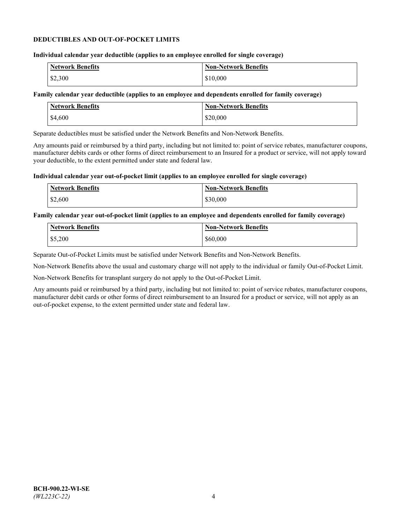#### **DEDUCTIBLES AND OUT-OF-POCKET LIMITS**

## **Individual calendar year deductible (applies to an employee enrolled for single coverage)**

| Network Benefits | <b>Non-Network Benefits</b> |
|------------------|-----------------------------|
| \$2,300          | \$10,000                    |

#### **Family calendar year deductible (applies to an employee and dependents enrolled for family coverage)**

| <b>Network Benefits</b> | <b>Non-Network Benefits</b> |
|-------------------------|-----------------------------|
| \$4,600                 | \$20,000                    |

Separate deductibles must be satisfied under the Network Benefits and Non-Network Benefits.

Any amounts paid or reimbursed by a third party, including but not limited to: point of service rebates, manufacturer coupons, manufacturer debits cards or other forms of direct reimbursement to an Insured for a product or service, will not apply toward your deductible, to the extent permitted under state and federal law.

#### **Individual calendar year out-of-pocket limit (applies to an employee enrolled for single coverage)**

| <b>Network Benefits</b> | <b>Non-Network Benefits</b> |
|-------------------------|-----------------------------|
| \$2,600                 | \$30,000                    |

#### **Family calendar year out-of-pocket limit (applies to an employee and dependents enrolled for family coverage)**

| <b>Network Benefits</b> | <b>Non-Network Benefits</b> |
|-------------------------|-----------------------------|
| \$5,200                 | \$60,000                    |

Separate Out-of-Pocket Limits must be satisfied under Network Benefits and Non-Network Benefits.

Non-Network Benefits above the usual and customary charge will not apply to the individual or family Out-of-Pocket Limit.

Non-Network Benefits for transplant surgery do not apply to the Out-of-Pocket Limit.

Any amounts paid or reimbursed by a third party, including but not limited to: point of service rebates, manufacturer coupons, manufacturer debit cards or other forms of direct reimbursement to an Insured for a product or service, will not apply as an out-of-pocket expense, to the extent permitted under state and federal law.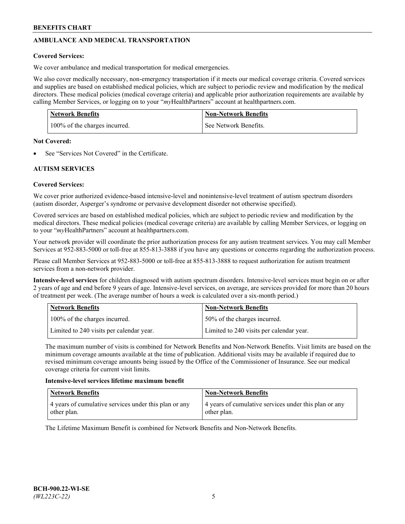# **AMBULANCE AND MEDICAL TRANSPORTATION**

# **Covered Services:**

We cover ambulance and medical transportation for medical emergencies.

We also cover medically necessary, non-emergency transportation if it meets our medical coverage criteria. Covered services and supplies are based on established medical policies, which are subject to periodic review and modification by the medical directors. These medical policies (medical coverage criteria) and applicable prior authorization requirements are available by calling Member Services, or logging on to your "*my*HealthPartners" account a[t healthpartners.com.](https://www.healthpartners.com/hp/index.html)

| <b>Network Benefits</b>       | <b>Non-Network Benefits</b> |
|-------------------------------|-----------------------------|
| 100% of the charges incurred. | See Network Benefits.       |

## **Not Covered:**

See "Services Not Covered" in the Certificate.

# **AUTISM SERVICES**

# **Covered Services:**

We cover prior authorized evidence-based intensive-level and nonintensive-level treatment of autism spectrum disorders (autism disorder, Asperger's syndrome or pervasive development disorder not otherwise specified).

Covered services are based on established medical policies, which are subject to periodic review and modification by the medical directors. These medical policies (medical coverage criteria) are available by calling Member Services, or logging on to your "*my*HealthPartners" account at [healthpartners.com.](https://www.healthpartners.com/hp/index.html)

Your network provider will coordinate the prior authorization process for any autism treatment services. You may call Member Services at 952-883-5000 or toll-free at 855-813-3888 if you have any questions or concerns regarding the authorization process.

Please call Member Services at 952-883-5000 or toll-free at 855-813-3888 to request authorization for autism treatment services from a non-network provider.

**Intensive-level services** for children diagnosed with autism spectrum disorders. Intensive-level services must begin on or after 2 years of age and end before 9 years of age. Intensive-level services, on average, are services provided for more than 20 hours of treatment per week. (The average number of hours a week is calculated over a six-month period.)

| Network Benefits                         | <b>Non-Network Benefits</b>              |
|------------------------------------------|------------------------------------------|
| 100% of the charges incurred.            | 50% of the charges incurred.             |
| Limited to 240 visits per calendar year. | Limited to 240 visits per calendar year. |

The maximum number of visits is combined for Network Benefits and Non-Network Benefits. Visit limits are based on the minimum coverage amounts available at the time of publication. Additional visits may be available if required due to revised minimum coverage amounts being issued by the Office of the Commissioner of Insurance. See our medical coverage criteria for current visit limits.

## **Intensive-level services lifetime maximum benefit**

| Network Benefits                                                     | <b>Non-Network Benefits</b>                                          |
|----------------------------------------------------------------------|----------------------------------------------------------------------|
| 4 years of cumulative services under this plan or any<br>other plan. | 4 years of cumulative services under this plan or any<br>other plan. |

The Lifetime Maximum Benefit is combined for Network Benefits and Non-Network Benefits.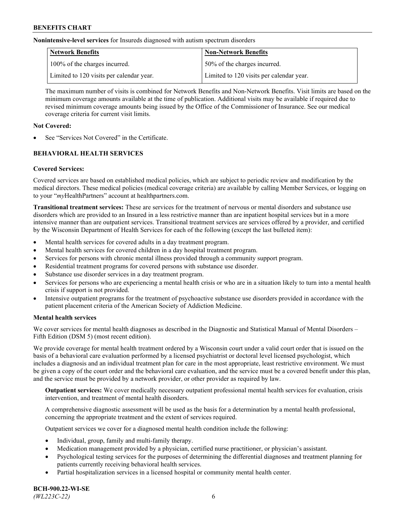**Nonintensive-level services** for Insureds diagnosed with autism spectrum disorders

| Network Benefits                         | <b>Non-Network Benefits</b>              |
|------------------------------------------|------------------------------------------|
| 100% of the charges incurred.            | 50% of the charges incurred.             |
| Limited to 120 visits per calendar year. | Limited to 120 visits per calendar year. |

The maximum number of visits is combined for Network Benefits and Non-Network Benefits. Visit limits are based on the minimum coverage amounts available at the time of publication. Additional visits may be available if required due to revised minimum coverage amounts being issued by the Office of the Commissioner of Insurance. See our medical coverage criteria for current visit limits.

# **Not Covered:**

See "Services Not Covered" in the Certificate.

# **BEHAVIORAL HEALTH SERVICES**

## **Covered Services:**

Covered services are based on established medical policies, which are subject to periodic review and modification by the medical directors. These medical policies (medical coverage criteria) are available by calling Member Services, or logging on to your "*my*HealthPartners" account at [healthpartners.com.](https://www.healthpartners.com/hp/index.html)

**Transitional treatment services:** These are services for the treatment of nervous or mental disorders and substance use disorders which are provided to an Insured in a less restrictive manner than are inpatient hospital services but in a more intensive manner than are outpatient services. Transitional treatment services are services offered by a provider, and certified by the Wisconsin Department of Health Services for each of the following (except the last bulleted item):

- Mental health services for covered adults in a day treatment program.
- Mental health services for covered children in a day hospital treatment program.
- Services for persons with chronic mental illness provided through a community support program.
- Residential treatment programs for covered persons with substance use disorder.
- Substance use disorder services in a day treatment program.
- Services for persons who are experiencing a mental health crisis or who are in a situation likely to turn into a mental health crisis if support is not provided.
- Intensive outpatient programs for the treatment of psychoactive substance use disorders provided in accordance with the patient placement criteria of the American Society of Addiction Medicine.

## **Mental health services**

We cover services for mental health diagnoses as described in the Diagnostic and Statistical Manual of Mental Disorders – Fifth Edition (DSM 5) (most recent edition).

We provide coverage for mental health treatment ordered by a Wisconsin court under a valid court order that is issued on the basis of a behavioral care evaluation performed by a licensed psychiatrist or doctoral level licensed psychologist, which includes a diagnosis and an individual treatment plan for care in the most appropriate, least restrictive environment. We must be given a copy of the court order and the behavioral care evaluation, and the service must be a covered benefit under this plan, and the service must be provided by a network provider, or other provider as required by law.

**Outpatient services:** We cover medically necessary outpatient professional mental health services for evaluation, crisis intervention, and treatment of mental health disorders.

A comprehensive diagnostic assessment will be used as the basis for a determination by a mental health professional, concerning the appropriate treatment and the extent of services required.

Outpatient services we cover for a diagnosed mental health condition include the following:

- Individual, group, family and multi-family therapy.
- Medication management provided by a physician, certified nurse practitioner, or physician's assistant.
- Psychological testing services for the purposes of determining the differential diagnoses and treatment planning for patients currently receiving behavioral health services.
- Partial hospitalization services in a licensed hospital or community mental health center.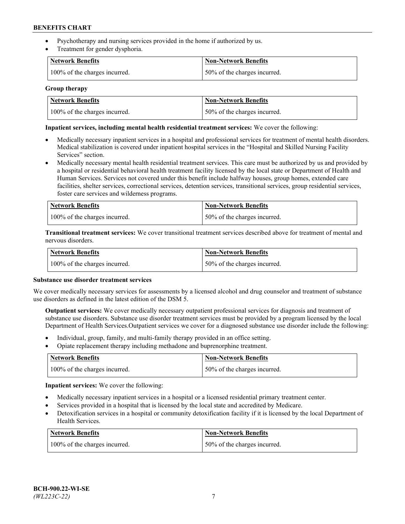- Psychotherapy and nursing services provided in the home if authorized by us.
- Treatment for gender dysphoria.

| <b>Network Benefits</b>       | <b>Non-Network Benefits</b>  |
|-------------------------------|------------------------------|
| 100% of the charges incurred. | 50% of the charges incurred. |

#### **Group therapy**

| Network Benefits              | Non-Network Benefits          |
|-------------------------------|-------------------------------|
| 100% of the charges incurred. | 150% of the charges incurred. |

#### **Inpatient services, including mental health residential treatment services:** We cover the following:

- Medically necessary inpatient services in a hospital and professional services for treatment of mental health disorders. Medical stabilization is covered under inpatient hospital services in the "Hospital and Skilled Nursing Facility Services" section.
- Medically necessary mental health residential treatment services. This care must be authorized by us and provided by a hospital or residential behavioral health treatment facility licensed by the local state or Department of Health and Human Services. Services not covered under this benefit include halfway houses, group homes, extended care facilities, shelter services, correctional services, detention services, transitional services, group residential services, foster care services and wilderness programs.

| <b>Network Benefits</b>       | Non-Network Benefits         |
|-------------------------------|------------------------------|
| 100% of the charges incurred. | 50% of the charges incurred. |

**Transitional treatment services:** We cover transitional treatment services described above for treatment of mental and nervous disorders.

| <b>Network Benefits</b>       | <b>Non-Network Benefits</b>  |
|-------------------------------|------------------------------|
| 100% of the charges incurred. | 50% of the charges incurred. |

#### **Substance use disorder treatment services**

We cover medically necessary services for assessments by a licensed alcohol and drug counselor and treatment of substance use disorders as defined in the latest edition of the DSM 5.

**Outpatient services:** We cover medically necessary outpatient professional services for diagnosis and treatment of substance use disorders. Substance use disorder treatment services must be provided by a program licensed by the local Department of Health Services.Outpatient services we cover for a diagnosed substance use disorder include the following:

- Individual, group, family, and multi-family therapy provided in an office setting.
- Opiate replacement therapy including methadone and buprenorphine treatment.

| Network Benefits              | Non-Network Benefits         |
|-------------------------------|------------------------------|
| 100% of the charges incurred. | 50% of the charges incurred. |

**Inpatient services:** We cover the following:

- Medically necessary inpatient services in a hospital or a licensed residential primary treatment center.
- Services provided in a hospital that is licensed by the local state and accredited by Medicare.
- Detoxification services in a hospital or community detoxification facility if it is licensed by the local Department of Health Services.

| Network Benefits              | <b>Non-Network Benefits</b>  |
|-------------------------------|------------------------------|
| 100% of the charges incurred. | 50% of the charges incurred. |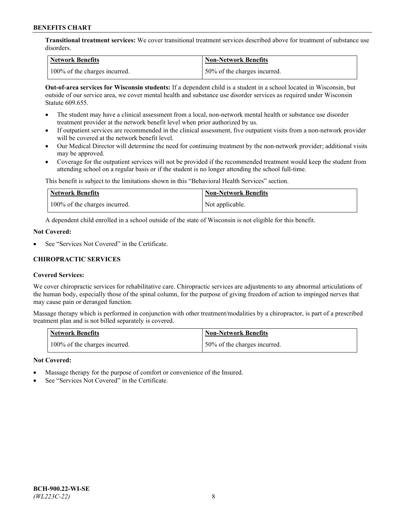**Transitional treatment services:** We cover transitional treatment services described above for treatment of substance use disorders.

| Network Benefits              | Non-Network Benefits          |
|-------------------------------|-------------------------------|
| 100% of the charges incurred. | 150% of the charges incurred. |

**Out-of-area services for Wisconsin students:** If a dependent child is a student in a school located in Wisconsin, but outside of our service area, we cover mental health and substance use disorder services as required under Wisconsin Statute 609.655.

- The student may have a clinical assessment from a local, non-network mental health or substance use disorder treatment provider at the network benefit level when prior authorized by us.
- If outpatient services are recommended in the clinical assessment, five outpatient visits from a non-network provider will be covered at the network benefit level.
- Our Medical Director will determine the need for continuing treatment by the non-network provider; additional visits may be approved.
- Coverage for the outpatient services will not be provided if the recommended treatment would keep the student from attending school on a regular basis or if the student is no longer attending the school full-time.

This benefit is subject to the limitations shown in this "Behavioral Health Services" section.

| Network Benefits              | Non-Network Benefits |
|-------------------------------|----------------------|
| 100% of the charges incurred. | Not applicable.      |

A dependent child enrolled in a school outside of the state of Wisconsin is not eligible for this benefit.

#### **Not Covered:**

See "Services Not Covered" in the Certificate.

# **CHIROPRACTIC SERVICES**

## **Covered Services:**

We cover chiropractic services for rehabilitative care. Chiropractic services are adjustments to any abnormal articulations of the human body, especially those of the spinal column, for the purpose of giving freedom of action to impinged nerves that may cause pain or deranged function.

Massage therapy which is performed in conjunction with other treatment/modalities by a chiropractor, is part of a prescribed treatment plan and is not billed separately is covered.

| <b>Network Benefits</b>       | <b>Non-Network Benefits</b>   |
|-------------------------------|-------------------------------|
| 100% of the charges incurred. | 150% of the charges incurred. |

#### **Not Covered:**

- Massage therapy for the purpose of comfort or convenience of the Insured.
- See "Services Not Covered" in the Certificate.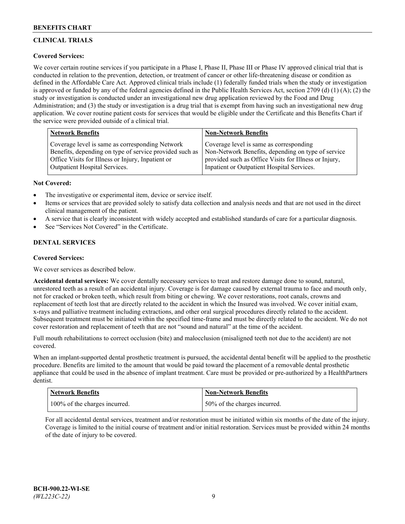# **CLINICAL TRIALS**

# **Covered Services:**

We cover certain routine services if you participate in a Phase I, Phase II, Phase III or Phase IV approved clinical trial that is conducted in relation to the prevention, detection, or treatment of cancer or other life-threatening disease or condition as defined in the Affordable Care Act. Approved clinical trials include (1) federally funded trials when the study or investigation is approved or funded by any of the federal agencies defined in the Public Health Services Act, section 2709 (d) (1) (A); (2) the study or investigation is conducted under an investigational new drug application reviewed by the Food and Drug Administration; and (3) the study or investigation is a drug trial that is exempt from having such an investigational new drug application. We cover routine patient costs for services that would be eligible under the Certificate and this Benefits Chart if the service were provided outside of a clinical trial.

| <b>Network Benefits</b>                                 | <b>Non-Network Benefits</b>                           |
|---------------------------------------------------------|-------------------------------------------------------|
| Coverage level is same as corresponding Network         | Coverage level is same as corresponding               |
| Benefits, depending on type of service provided such as | Non-Network Benefits, depending on type of service    |
| Office Visits for Illness or Injury, Inpatient or       | provided such as Office Visits for Illness or Injury, |
| Outpatient Hospital Services.                           | Inpatient or Outpatient Hospital Services.            |

## **Not Covered:**

- The investigative or experimental item, device or service itself.
- Items or services that are provided solely to satisfy data collection and analysis needs and that are not used in the direct clinical management of the patient.
- A service that is clearly inconsistent with widely accepted and established standards of care for a particular diagnosis.
- See "Services Not Covered" in the Certificate.

# **DENTAL SERVICES**

## **Covered Services:**

We cover services as described below.

**Accidental dental services:** We cover dentally necessary services to treat and restore damage done to sound, natural, unrestored teeth as a result of an accidental injury. Coverage is for damage caused by external trauma to face and mouth only, not for cracked or broken teeth, which result from biting or chewing. We cover restorations, root canals, crowns and replacement of teeth lost that are directly related to the accident in which the Insured was involved. We cover initial exam, x-rays and palliative treatment including extractions, and other oral surgical procedures directly related to the accident. Subsequent treatment must be initiated within the specified time-frame and must be directly related to the accident. We do not cover restoration and replacement of teeth that are not "sound and natural" at the time of the accident.

Full mouth rehabilitations to correct occlusion (bite) and malocclusion (misaligned teeth not due to the accident) are not covered.

When an implant-supported dental prosthetic treatment is pursued, the accidental dental benefit will be applied to the prosthetic procedure. Benefits are limited to the amount that would be paid toward the placement of a removable dental prosthetic appliance that could be used in the absence of implant treatment. Care must be provided or pre-authorized by a HealthPartners dentist.

| <b>Network Benefits</b>       | <b>Non-Network Benefits</b>  |
|-------------------------------|------------------------------|
| 100% of the charges incurred. | 50% of the charges incurred. |

For all accidental dental services, treatment and/or restoration must be initiated within six months of the date of the injury. Coverage is limited to the initial course of treatment and/or initial restoration. Services must be provided within 24 months of the date of injury to be covered.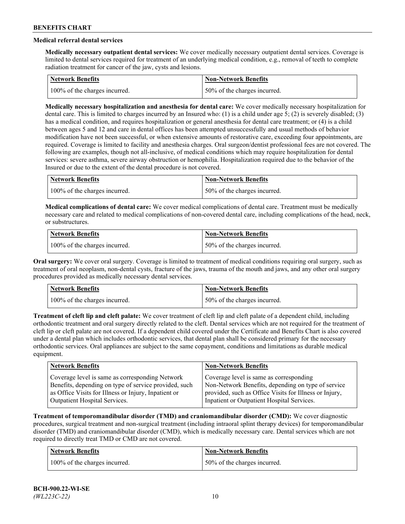# **Medical referral dental services**

**Medically necessary outpatient dental services:** We cover medically necessary outpatient dental services. Coverage is limited to dental services required for treatment of an underlying medical condition, e.g., removal of teeth to complete radiation treatment for cancer of the jaw, cysts and lesions.

| Network Benefits              | <b>Non-Network Benefits</b>  |
|-------------------------------|------------------------------|
| 100% of the charges incurred. | 50% of the charges incurred. |

**Medically necessary hospitalization and anesthesia for dental care:** We cover medically necessary hospitalization for dental care. This is limited to charges incurred by an Insured who: (1) is a child under age 5; (2) is severely disabled; (3) has a medical condition, and requires hospitalization or general anesthesia for dental care treatment; or (4) is a child between ages 5 and 12 and care in dental offices has been attempted unsuccessfully and usual methods of behavior modification have not been successful, or when extensive amounts of restorative care, exceeding four appointments, are required. Coverage is limited to facility and anesthesia charges. Oral surgeon/dentist professional fees are not covered. The following are examples, though not all-inclusive, of medical conditions which may require hospitalization for dental services: severe asthma, severe airway obstruction or hemophilia. Hospitalization required due to the behavior of the Insured or due to the extent of the dental procedure is not covered.

| Network Benefits              | <b>Non-Network Benefits</b>  |
|-------------------------------|------------------------------|
| 100% of the charges incurred. | 50% of the charges incurred. |

**Medical complications of dental care:** We cover medical complications of dental care. Treatment must be medically necessary care and related to medical complications of non-covered dental care, including complications of the head, neck, or substructures.

| Network Benefits              | Non-Network Benefits         |
|-------------------------------|------------------------------|
| 100% of the charges incurred. | 50% of the charges incurred. |

**Oral surgery:** We cover oral surgery. Coverage is limited to treatment of medical conditions requiring oral surgery, such as treatment of oral neoplasm, non-dental cysts, fracture of the jaws, trauma of the mouth and jaws, and any other oral surgery procedures provided as medically necessary dental services.

| Network Benefits              | <b>Non-Network Benefits</b>   |
|-------------------------------|-------------------------------|
| 100% of the charges incurred. | 150% of the charges incurred. |

**Treatment of cleft lip and cleft palate:** We cover treatment of cleft lip and cleft palate of a dependent child, including orthodontic treatment and oral surgery directly related to the cleft. Dental services which are not required for the treatment of cleft lip or cleft palate are not covered. If a dependent child covered under the Certificate and Benefits Chart is also covered under a dental plan which includes orthodontic services, that dental plan shall be considered primary for the necessary orthodontic services. Oral appliances are subject to the same copayment, conditions and limitations as durable medical equipment.

| <b>Network Benefits</b>                               | <b>Non-Network Benefits</b>                            |
|-------------------------------------------------------|--------------------------------------------------------|
| Coverage level is same as corresponding Network       | Coverage level is same as corresponding                |
| Benefits, depending on type of service provided, such | Non-Network Benefits, depending on type of service     |
| as Office Visits for Illness or Injury, Inpatient or  | provided, such as Office Visits for Illness or Injury, |
| Outpatient Hospital Services.                         | Inpatient or Outpatient Hospital Services.             |

**Treatment of temporomandibular disorder (TMD) and craniomandibular disorder (CMD):** We cover diagnostic procedures, surgical treatment and non-surgical treatment (including intraoral splint therapy devices) for temporomandibular disorder (TMD) and craniomandibular disorder (CMD), which is medically necessary care. Dental services which are not required to directly treat TMD or CMD are not covered.

| <b>Network Benefits</b>       | <b>Non-Network Benefits</b>   |
|-------------------------------|-------------------------------|
| 100% of the charges incurred. | 150% of the charges incurred. |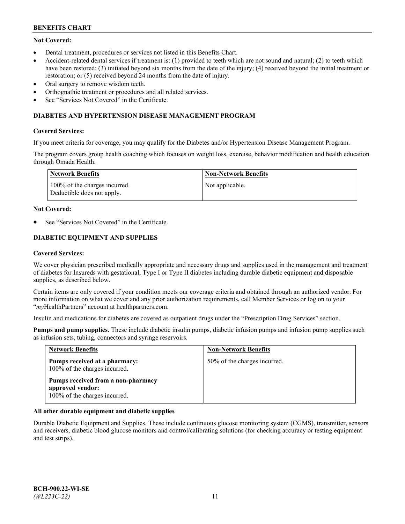# **Not Covered:**

- Dental treatment, procedures or services not listed in this Benefits Chart.
- Accident-related dental services if treatment is: (1) provided to teeth which are not sound and natural; (2) to teeth which have been restored; (3) initiated beyond six months from the date of the injury; (4) received beyond the initial treatment or restoration; or (5) received beyond 24 months from the date of injury.
- Oral surgery to remove wisdom teeth.
- Orthognathic treatment or procedures and all related services.
- See "Services Not Covered" in the Certificate.

#### **DIABETES AND HYPERTENSION DISEASE MANAGEMENT PROGRAM**

#### **Covered Services:**

If you meet criteria for coverage, you may qualify for the Diabetes and/or Hypertension Disease Management Program.

The program covers group health coaching which focuses on weight loss, exercise, behavior modification and health education through Omada Health.

| Network Benefits                                            | <b>Non-Network Benefits</b> |
|-------------------------------------------------------------|-----------------------------|
| 100% of the charges incurred.<br>Deductible does not apply. | Not applicable.             |

#### **Not Covered:**

See "Services Not Covered" in the Certificate.

# **DIABETIC EQUIPMENT AND SUPPLIES**

#### **Covered Services:**

We cover physician prescribed medically appropriate and necessary drugs and supplies used in the management and treatment of diabetes for Insureds with gestational, Type I or Type II diabetes including durable diabetic equipment and disposable supplies, as described below.

Certain items are only covered if your condition meets our coverage criteria and obtained through an authorized vendor. For more information on what we cover and any prior authorization requirements, call Member Services or log on to your "*my*HealthPartners" account at [healthpartners.com.](http://www.healthpartners.com/)

Insulin and medications for diabetes are covered as outpatient drugs under the "Prescription Drug Services" section.

**Pumps and pump supplies.** These include diabetic insulin pumps, diabetic infusion pumps and infusion pump supplies such as infusion sets, tubing, connectors and syringe reservoirs.

| <b>Network Benefits</b>                                                                 | <b>Non-Network Benefits</b>  |
|-----------------------------------------------------------------------------------------|------------------------------|
| Pumps received at a pharmacy:<br>100% of the charges incurred.                          | 50% of the charges incurred. |
| Pumps received from a non-pharmacy<br>approved vendor:<br>100% of the charges incurred. |                              |

## **All other durable equipment and diabetic supplies**

Durable Diabetic Equipment and Supplies. These include continuous glucose monitoring system (CGMS), transmitter, sensors and receivers, diabetic blood glucose monitors and control/calibrating solutions (for checking accuracy or testing equipment and test strips).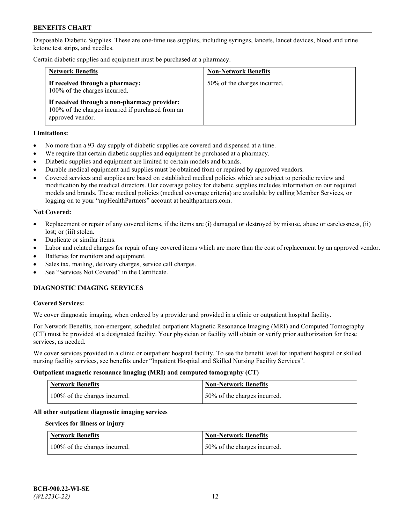Disposable Diabetic Supplies. These are one-time use supplies, including syringes, lancets, lancet devices, blood and urine ketone test strips, and needles.

Certain diabetic supplies and equipment must be purchased at a pharmacy.

| <b>Network Benefits</b>                                                                                               | <b>Non-Network Benefits</b>  |
|-----------------------------------------------------------------------------------------------------------------------|------------------------------|
| If received through a pharmacy:<br>100% of the charges incurred.                                                      | 50% of the charges incurred. |
| If received through a non-pharmacy provider:<br>100% of the charges incurred if purchased from an<br>approved vendor. |                              |

#### **Limitations:**

- No more than a 93-day supply of diabetic supplies are covered and dispensed at a time.
- We require that certain diabetic supplies and equipment be purchased at a pharmacy.
- Diabetic supplies and equipment are limited to certain models and brands.
- Durable medical equipment and supplies must be obtained from or repaired by approved vendors.
- Covered services and supplies are based on established medical policies which are subject to periodic review and modification by the medical directors. Our coverage policy for diabetic supplies includes information on our required models and brands. These medical policies (medical coverage criteria) are available by calling Member Services, or logging on to your "myHealthPartners" account at [healthpartners.com.](http://www.healthpartners.com/)

#### **Not Covered:**

- Replacement or repair of any covered items, if the items are (i) damaged or destroyed by misuse, abuse or carelessness, (ii) lost; or (iii) stolen.
- Duplicate or similar items.
- Labor and related charges for repair of any covered items which are more than the cost of replacement by an approved vendor.
- Batteries for monitors and equipment.
- Sales tax, mailing, delivery charges, service call charges.
- See "Services Not Covered" in the Certificate.

# **DIAGNOSTIC IMAGING SERVICES**

#### **Covered Services:**

We cover diagnostic imaging, when ordered by a provider and provided in a clinic or outpatient hospital facility.

For Network Benefits, non-emergent, scheduled outpatient Magnetic Resonance Imaging (MRI) and Computed Tomography (CT) must be provided at a designated facility. Your physician or facility will obtain or verify prior authorization for these services, as needed.

We cover services provided in a clinic or outpatient hospital facility. To see the benefit level for inpatient hospital or skilled nursing facility services, see benefits under "Inpatient Hospital and Skilled Nursing Facility Services".

#### **Outpatient magnetic resonance imaging (MRI) and computed tomography (CT)**

| <b>Network Benefits</b>       | <b>Non-Network Benefits</b>   |
|-------------------------------|-------------------------------|
| 100% of the charges incurred. | 150% of the charges incurred. |

## **All other outpatient diagnostic imaging services**

#### **Services for illness or injury**

| <b>Network Benefits</b>       | <b>Non-Network Benefits</b>  |
|-------------------------------|------------------------------|
| 100% of the charges incurred. | 50% of the charges incurred. |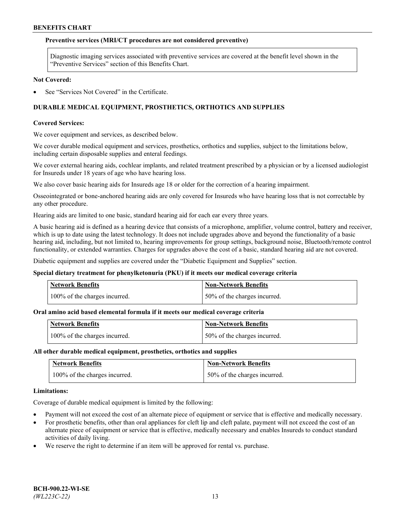#### **Preventive services (MRI/CT procedures are not considered preventive)**

Diagnostic imaging services associated with preventive services are covered at the benefit level shown in the "Preventive Services" section of this Benefits Chart.

#### **Not Covered:**

See "Services Not Covered" in the Certificate.

# **DURABLE MEDICAL EQUIPMENT, PROSTHETICS, ORTHOTICS AND SUPPLIES**

#### **Covered Services:**

We cover equipment and services, as described below.

We cover durable medical equipment and services, prosthetics, orthotics and supplies, subject to the limitations below, including certain disposable supplies and enteral feedings.

We cover external hearing aids, cochlear implants, and related treatment prescribed by a physician or by a licensed audiologist for Insureds under 18 years of age who have hearing loss.

We also cover basic hearing aids for Insureds age 18 or older for the correction of a hearing impairment.

Osseointegrated or bone-anchored hearing aids are only covered for Insureds who have hearing loss that is not correctable by any other procedure.

Hearing aids are limited to one basic, standard hearing aid for each ear every three years.

A basic hearing aid is defined as a hearing device that consists of a microphone, amplifier, volume control, battery and receiver, which is up to date using the latest technology. It does not include upgrades above and beyond the functionality of a basic hearing aid, including, but not limited to, hearing improvements for group settings, background noise, Bluetooth/remote control functionality, or extended warranties. Charges for upgrades above the cost of a basic, standard hearing aid are not covered.

Diabetic equipment and supplies are covered under the "Diabetic Equipment and Supplies" section.

#### **Special dietary treatment for phenylketonuria (PKU) if it meets our medical coverage criteria**

| <b>Network Benefits</b>       | <b>Non-Network Benefits</b>  |
|-------------------------------|------------------------------|
| 100% of the charges incurred. | 50% of the charges incurred. |

## **Oral amino acid based elemental formula if it meets our medical coverage criteria**

| <b>Network Benefits</b>       | Non-Network Benefits         |
|-------------------------------|------------------------------|
| 100% of the charges incurred. | 50% of the charges incurred. |

#### **All other durable medical equipment, prosthetics, orthotics and supplies**

| <b>Network Benefits</b>       | <b>Non-Network Benefits</b>  |
|-------------------------------|------------------------------|
| 100% of the charges incurred. | 50% of the charges incurred. |

#### **Limitations:**

Coverage of durable medical equipment is limited by the following:

- Payment will not exceed the cost of an alternate piece of equipment or service that is effective and medically necessary.
- For prosthetic benefits, other than oral appliances for cleft lip and cleft palate, payment will not exceed the cost of an alternate piece of equipment or service that is effective, medically necessary and enables Insureds to conduct standard activities of daily living.
- We reserve the right to determine if an item will be approved for rental vs. purchase.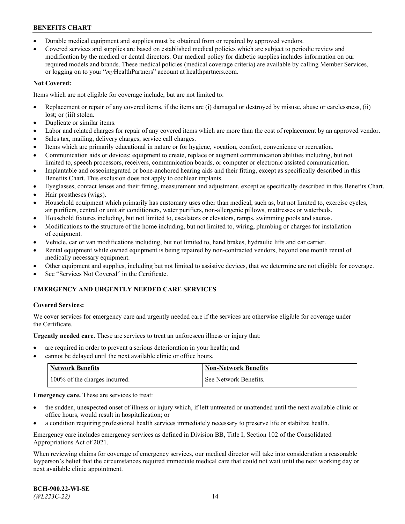- Durable medical equipment and supplies must be obtained from or repaired by approved vendors.
- Covered services and supplies are based on established medical policies which are subject to periodic review and modification by the medical or dental directors. Our medical policy for diabetic supplies includes information on our required models and brands. These medical policies (medical coverage criteria) are available by calling Member Services, or logging on to your "*my*HealthPartners" account a[t healthpartners.com.](http://www.healthpartners.com/)

# **Not Covered:**

Items which are not eligible for coverage include, but are not limited to:

- Replacement or repair of any covered items, if the items are (i) damaged or destroyed by misuse, abuse or carelessness, (ii) lost; or (iii) stolen.
- Duplicate or similar items.
- Labor and related charges for repair of any covered items which are more than the cost of replacement by an approved vendor.
- Sales tax, mailing, delivery charges, service call charges.
- Items which are primarily educational in nature or for hygiene, vocation, comfort, convenience or recreation.
- Communication aids or devices: equipment to create, replace or augment communication abilities including, but not limited to, speech processors, receivers, communication boards, or computer or electronic assisted communication.
- Implantable and osseointegrated or bone-anchored hearing aids and their fitting, except as specifically described in this Benefits Chart. This exclusion does not apply to cochlear implants.
- Eyeglasses, contact lenses and their fitting, measurement and adjustment, except as specifically described in this Benefits Chart.
- Hair prostheses (wigs).
- Household equipment which primarily has customary uses other than medical, such as, but not limited to, exercise cycles, air purifiers, central or unit air conditioners, water purifiers, non-allergenic pillows, mattresses or waterbeds.
- Household fixtures including, but not limited to, escalators or elevators, ramps, swimming pools and saunas.
- Modifications to the structure of the home including, but not limited to, wiring, plumbing or charges for installation of equipment.
- Vehicle, car or van modifications including, but not limited to, hand brakes, hydraulic lifts and car carrier.
- Rental equipment while owned equipment is being repaired by non-contracted vendors, beyond one month rental of medically necessary equipment.
- Other equipment and supplies, including but not limited to assistive devices, that we determine are not eligible for coverage.
- See "Services Not Covered" in the Certificate.

# **EMERGENCY AND URGENTLY NEEDED CARE SERVICES**

## **Covered Services:**

We cover services for emergency care and urgently needed care if the services are otherwise eligible for coverage under the Certificate.

**Urgently needed care.** These are services to treat an unforeseen illness or injury that:

- are required in order to prevent a serious deterioration in your health; and
- cannot be delayed until the next available clinic or office hours.

| <b>Network Benefits</b>       | Non-Network Benefits  |
|-------------------------------|-----------------------|
| 100% of the charges incurred. | See Network Benefits. |

**Emergency care.** These are services to treat:

- the sudden, unexpected onset of illness or injury which, if left untreated or unattended until the next available clinic or office hours, would result in hospitalization; or
- a condition requiring professional health services immediately necessary to preserve life or stabilize health.

Emergency care includes emergency services as defined in Division BB, Title I, Section 102 of the Consolidated Appropriations Act of 2021.

When reviewing claims for coverage of emergency services, our medical director will take into consideration a reasonable layperson's belief that the circumstances required immediate medical care that could not wait until the next working day or next available clinic appointment.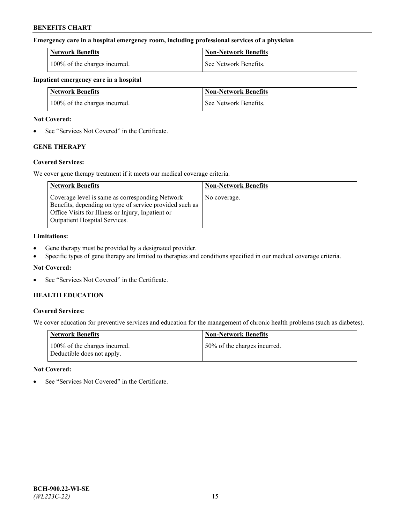#### **Emergency care in a hospital emergency room, including professional services of a physician**

| <b>Network Benefits</b>       | <b>Non-Network Benefits</b> |
|-------------------------------|-----------------------------|
| 100% of the charges incurred. | See Network Benefits.       |

#### **Inpatient emergency care in a hospital**

| <b>Network Benefits</b>       | <b>Non-Network Benefits</b> |
|-------------------------------|-----------------------------|
| 100% of the charges incurred. | See Network Benefits.       |

#### **Not Covered:**

• See "Services Not Covered" in the Certificate.

# **GENE THERAPY**

## **Covered Services:**

We cover gene therapy treatment if it meets our medical coverage criteria.

| <b>Network Benefits</b>                                                                                                                                                                                 | <b>Non-Network Benefits</b> |
|---------------------------------------------------------------------------------------------------------------------------------------------------------------------------------------------------------|-----------------------------|
| Coverage level is same as corresponding Network<br>Benefits, depending on type of service provided such as<br>Office Visits for Illness or Injury, Inpatient or<br><b>Outpatient Hospital Services.</b> | No coverage.                |

#### **Limitations:**

- Gene therapy must be provided by a designated provider.
- Specific types of gene therapy are limited to therapies and conditions specified in our medical coverage criteria.

## **Not Covered:**

See "Services Not Covered" in the Certificate.

# **HEALTH EDUCATION**

## **Covered Services:**

We cover education for preventive services and education for the management of chronic health problems (such as diabetes).

| <b>Network Benefits</b>                                     | <b>Non-Network Benefits</b>  |
|-------------------------------------------------------------|------------------------------|
| 100% of the charges incurred.<br>Deductible does not apply. | 50% of the charges incurred. |

#### **Not Covered:**

See "Services Not Covered" in the Certificate.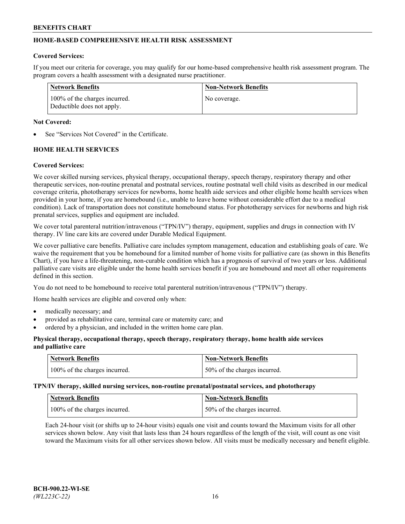# **HOME-BASED COMPREHENSIVE HEALTH RISK ASSESSMENT**

#### **Covered Services:**

If you meet our criteria for coverage, you may qualify for our home-based comprehensive health risk assessment program. The program covers a health assessment with a designated nurse practitioner.

| Network Benefits                                            | <b>Non-Network Benefits</b> |
|-------------------------------------------------------------|-----------------------------|
| 100% of the charges incurred.<br>Deductible does not apply. | No coverage.                |

#### **Not Covered:**

See "Services Not Covered" in the Certificate.

# **HOME HEALTH SERVICES**

#### **Covered Services:**

We cover skilled nursing services, physical therapy, occupational therapy, speech therapy, respiratory therapy and other therapeutic services, non-routine prenatal and postnatal services, routine postnatal well child visits as described in our medical coverage criteria, phototherapy services for newborns, home health aide services and other eligible home health services when provided in your home, if you are homebound (i.e., unable to leave home without considerable effort due to a medical condition). Lack of transportation does not constitute homebound status. For phototherapy services for newborns and high risk prenatal services, supplies and equipment are included.

We cover total parenteral nutrition/intravenous ("TPN/IV") therapy, equipment, supplies and drugs in connection with IV therapy. IV line care kits are covered under Durable Medical Equipment.

We cover palliative care benefits. Palliative care includes symptom management, education and establishing goals of care. We waive the requirement that you be homebound for a limited number of home visits for palliative care (as shown in this Benefits Chart), if you have a life-threatening, non-curable condition which has a prognosis of survival of two years or less. Additional palliative care visits are eligible under the home health services benefit if you are homebound and meet all other requirements defined in this section.

You do not need to be homebound to receive total parenteral nutrition/intravenous ("TPN/IV") therapy.

Home health services are eligible and covered only when:

- medically necessary; and
- provided as rehabilitative care, terminal care or maternity care; and
- ordered by a physician, and included in the written home care plan.

#### **Physical therapy, occupational therapy, speech therapy, respiratory therapy, home health aide services and palliative care**

| Network Benefits              | <b>Non-Network Benefits</b>  |
|-------------------------------|------------------------------|
| 100% of the charges incurred. | 50% of the charges incurred. |

**TPN/IV therapy, skilled nursing services, non-routine prenatal/postnatal services, and phototherapy**

| Network Benefits              | Non-Network Benefits         |
|-------------------------------|------------------------------|
| 100% of the charges incurred. | 50% of the charges incurred. |

Each 24-hour visit (or shifts up to 24-hour visits) equals one visit and counts toward the Maximum visits for all other services shown below. Any visit that lasts less than 24 hours regardless of the length of the visit, will count as one visit toward the Maximum visits for all other services shown below. All visits must be medically necessary and benefit eligible.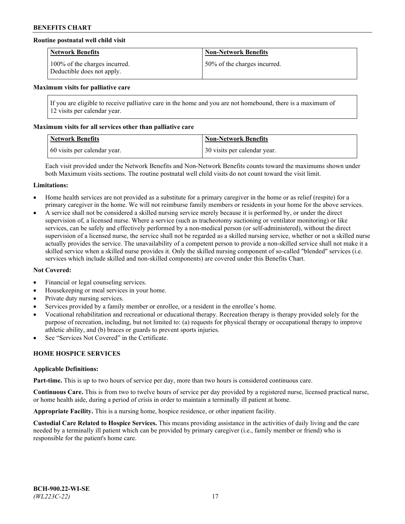## **Routine postnatal well child visit**

| <b>Network Benefits</b>                                     | <b>Non-Network Benefits</b>  |
|-------------------------------------------------------------|------------------------------|
| 100% of the charges incurred.<br>Deductible does not apply. | 50% of the charges incurred. |

#### **Maximum visits for palliative care**

If you are eligible to receive palliative care in the home and you are not homebound, there is a maximum of 12 visits per calendar year.

#### **Maximum visits for all services other than palliative care**

| <b>Network Benefits</b>      | <b>Non-Network Benefits</b>  |
|------------------------------|------------------------------|
| 60 visits per calendar year. | 30 visits per calendar year. |

Each visit provided under the Network Benefits and Non-Network Benefits counts toward the maximums shown under both Maximum visits sections. The routine postnatal well child visits do not count toward the visit limit.

#### **Limitations:**

- Home health services are not provided as a substitute for a primary caregiver in the home or as relief (respite) for a primary caregiver in the home. We will not reimburse family members or residents in your home for the above services.
- A service shall not be considered a skilled nursing service merely because it is performed by, or under the direct supervision of, a licensed nurse. Where a service (such as tracheotomy suctioning or ventilator monitoring) or like services, can be safely and effectively performed by a non-medical person (or self-administered), without the direct supervision of a licensed nurse, the service shall not be regarded as a skilled nursing service, whether or not a skilled nurse actually provides the service. The unavailability of a competent person to provide a non-skilled service shall not make it a skilled service when a skilled nurse provides it. Only the skilled nursing component of so-called "blended" services (i.e. services which include skilled and non-skilled components) are covered under this Benefits Chart.

#### **Not Covered:**

- Financial or legal counseling services.
- Housekeeping or meal services in your home.
- Private duty nursing services.
- Services provided by a family member or enrollee, or a resident in the enrollee's home.
- Vocational rehabilitation and recreational or educational therapy. Recreation therapy is therapy provided solely for the purpose of recreation, including, but not limited to: (a) requests for physical therapy or occupational therapy to improve athletic ability, and (b) braces or guards to prevent sports injuries.
- See "Services Not Covered" in the Certificate.

# **HOME HOSPICE SERVICES**

#### **Applicable Definitions:**

**Part-time.** This is up to two hours of service per day, more than two hours is considered continuous care.

**Continuous Care.** This is from two to twelve hours of service per day provided by a registered nurse, licensed practical nurse, or home health aide, during a period of crisis in order to maintain a terminally ill patient at home.

**Appropriate Facility.** This is a nursing home, hospice residence, or other inpatient facility.

**Custodial Care Related to Hospice Services.** This means providing assistance in the activities of daily living and the care needed by a terminally ill patient which can be provided by primary caregiver (i.e., family member or friend) who is responsible for the patient's home care.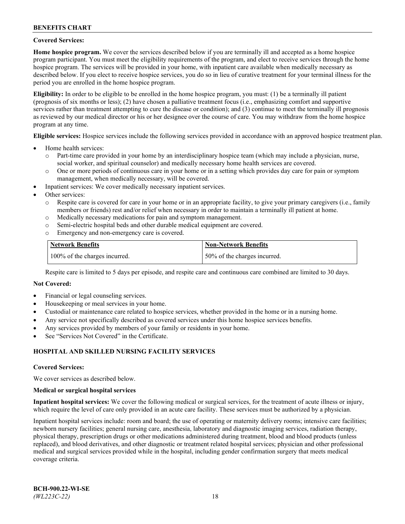#### **Covered Services:**

**Home hospice program.** We cover the services described below if you are terminally ill and accepted as a home hospice program participant. You must meet the eligibility requirements of the program, and elect to receive services through the home hospice program. The services will be provided in your home, with inpatient care available when medically necessary as described below. If you elect to receive hospice services, you do so in lieu of curative treatment for your terminal illness for the period you are enrolled in the home hospice program.

**Eligibility:** In order to be eligible to be enrolled in the home hospice program, you must: (1) be a terminally ill patient (prognosis of six months or less); (2) have chosen a palliative treatment focus (i.e., emphasizing comfort and supportive services rather than treatment attempting to cure the disease or condition); and (3) continue to meet the terminally ill prognosis as reviewed by our medical director or his or her designee over the course of care. You may withdraw from the home hospice program at any time.

**Eligible services:** Hospice services include the following services provided in accordance with an approved hospice treatment plan.

- Home health services:
	- o Part-time care provided in your home by an interdisciplinary hospice team (which may include a physician, nurse, social worker, and spiritual counselor) and medically necessary home health services are covered.
	- o One or more periods of continuous care in your home or in a setting which provides day care for pain or symptom management, when medically necessary, will be covered.
- Inpatient services: We cover medically necessary inpatient services.
- Other services:
	- o Respite care is covered for care in your home or in an appropriate facility, to give your primary caregivers (i.e., family members or friends) rest and/or relief when necessary in order to maintain a terminally ill patient at home.
	- o Medically necessary medications for pain and symptom management.
	- o Semi-electric hospital beds and other durable medical equipment are covered.
	- Emergency and non-emergency care is covered.

| Network Benefits              | <b>Non-Network Benefits</b>  |
|-------------------------------|------------------------------|
| 100% of the charges incurred. | 50% of the charges incurred. |

Respite care is limited to 5 days per episode, and respite care and continuous care combined are limited to 30 days.

#### **Not Covered:**

- Financial or legal counseling services.
- Housekeeping or meal services in your home.
- Custodial or maintenance care related to hospice services, whether provided in the home or in a nursing home.
- Any service not specifically described as covered services under this home hospice services benefits.
- Any services provided by members of your family or residents in your home.
- See "Services Not Covered" in the Certificate.

## **HOSPITAL AND SKILLED NURSING FACILITY SERVICES**

#### **Covered Services:**

We cover services as described below.

#### **Medical or surgical hospital services**

**Inpatient hospital services:** We cover the following medical or surgical services, for the treatment of acute illness or injury, which require the level of care only provided in an acute care facility. These services must be authorized by a physician.

Inpatient hospital services include: room and board; the use of operating or maternity delivery rooms; intensive care facilities; newborn nursery facilities; general nursing care, anesthesia, laboratory and diagnostic imaging services, radiation therapy, physical therapy, prescription drugs or other medications administered during treatment, blood and blood products (unless replaced), and blood derivatives, and other diagnostic or treatment related hospital services; physician and other professional medical and surgical services provided while in the hospital, including gender confirmation surgery that meets medical coverage criteria.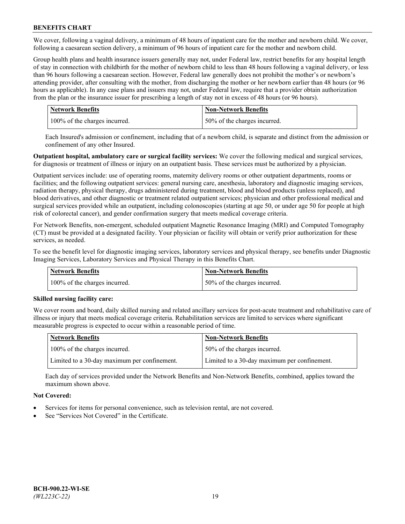We cover, following a vaginal delivery, a minimum of 48 hours of inpatient care for the mother and newborn child. We cover, following a caesarean section delivery, a minimum of 96 hours of inpatient care for the mother and newborn child.

Group health plans and health insurance issuers generally may not, under Federal law, restrict benefits for any hospital length of stay in connection with childbirth for the mother of newborn child to less than 48 hours following a vaginal delivery, or less than 96 hours following a caesarean section. However, Federal law generally does not prohibit the mother's or newborn's attending provider, after consulting with the mother, from discharging the mother or her newborn earlier than 48 hours (or 96 hours as applicable). In any case plans and issuers may not, under Federal law, require that a provider obtain authorization from the plan or the insurance issuer for prescribing a length of stay not in excess of 48 hours (or 96 hours).

| <b>Network Benefits</b>       | <b>Non-Network Benefits</b>  |
|-------------------------------|------------------------------|
| 100% of the charges incurred. | 50% of the charges incurred. |

Each Insured's admission or confinement, including that of a newborn child, is separate and distinct from the admission or confinement of any other Insured.

**Outpatient hospital, ambulatory care or surgical facility services:** We cover the following medical and surgical services, for diagnosis or treatment of illness or injury on an outpatient basis. These services must be authorized by a physician.

Outpatient services include: use of operating rooms, maternity delivery rooms or other outpatient departments, rooms or facilities; and the following outpatient services: general nursing care, anesthesia, laboratory and diagnostic imaging services, radiation therapy, physical therapy, drugs administered during treatment, blood and blood products (unless replaced), and blood derivatives, and other diagnostic or treatment related outpatient services; physician and other professional medical and surgical services provided while an outpatient, including colonoscopies (starting at age 50, or under age 50 for people at high risk of colorectal cancer), and gender confirmation surgery that meets medical coverage criteria.

For Network Benefits, non-emergent, scheduled outpatient Magnetic Resonance Imaging (MRI) and Computed Tomography (CT) must be provided at a designated facility. Your physician or facility will obtain or verify prior authorization for these services, as needed.

To see the benefit level for diagnostic imaging services, laboratory services and physical therapy, see benefits under Diagnostic Imaging Services, Laboratory Services and Physical Therapy in this Benefits Chart.

| <b>Network Benefits</b>       | <b>Non-Network Benefits</b>  |
|-------------------------------|------------------------------|
| 100% of the charges incurred. | 50% of the charges incurred. |

## **Skilled nursing facility care:**

We cover room and board, daily skilled nursing and related ancillary services for post-acute treatment and rehabilitative care of illness or injury that meets medical coverage criteria. Rehabilitation services are limited to services where significant measurable progress is expected to occur within a reasonable period of time.

| Network Benefits                             | <b>Non-Network Benefits</b>                  |
|----------------------------------------------|----------------------------------------------|
| 100% of the charges incurred.                | 50% of the charges incurred.                 |
| Limited to a 30-day maximum per confinement. | Limited to a 30-day maximum per confinement. |

Each day of services provided under the Network Benefits and Non-Network Benefits, combined, applies toward the maximum shown above.

## **Not Covered:**

- Services for items for personal convenience, such as television rental, are not covered.
- See "Services Not Covered" in the Certificate.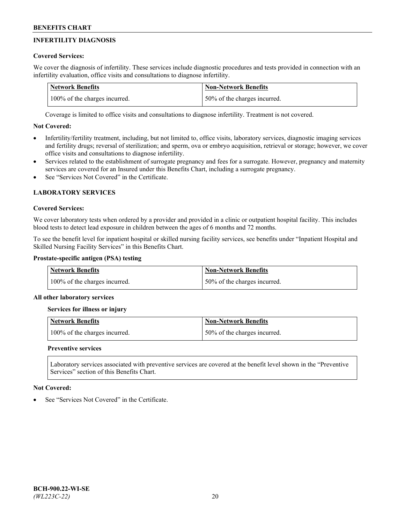# **INFERTILITY DIAGNOSIS**

# **Covered Services:**

We cover the diagnosis of infertility. These services include diagnostic procedures and tests provided in connection with an infertility evaluation, office visits and consultations to diagnose infertility.

| <b>Network Benefits</b>       | <b>Non-Network Benefits</b>  |
|-------------------------------|------------------------------|
| 100% of the charges incurred. | 50% of the charges incurred. |

Coverage is limited to office visits and consultations to diagnose infertility. Treatment is not covered.

# **Not Covered:**

- Infertility/fertility treatment, including, but not limited to, office visits, laboratory services, diagnostic imaging services and fertility drugs; reversal of sterilization; and sperm, ova or embryo acquisition, retrieval or storage; however, we cover office visits and consultations to diagnose infertility.
- Services related to the establishment of surrogate pregnancy and fees for a surrogate. However, pregnancy and maternity services are covered for an Insured under this Benefits Chart, including a surrogate pregnancy.
- See "Services Not Covered" in the Certificate

# **LABORATORY SERVICES**

## **Covered Services:**

We cover laboratory tests when ordered by a provider and provided in a clinic or outpatient hospital facility. This includes blood tests to detect lead exposure in children between the ages of 6 months and 72 months.

To see the benefit level for inpatient hospital or skilled nursing facility services, see benefits under "Inpatient Hospital and Skilled Nursing Facility Services" in this Benefits Chart.

# **Prostate-specific antigen (PSA) testing**

| <b>Network Benefits</b>       | <b>Non-Network Benefits</b>  |
|-------------------------------|------------------------------|
| 100% of the charges incurred. | 50% of the charges incurred. |

## **All other laboratory services**

**Services for illness or injury**

| <b>Network Benefits</b>       | 'Non-Network Benefits        |
|-------------------------------|------------------------------|
| 100% of the charges incurred. | 50% of the charges incurred. |

## **Preventive services**

Laboratory services associated with preventive services are covered at the benefit level shown in the "Preventive Services" section of this Benefits Chart.

## **Not Covered:**

See "Services Not Covered" in the Certificate.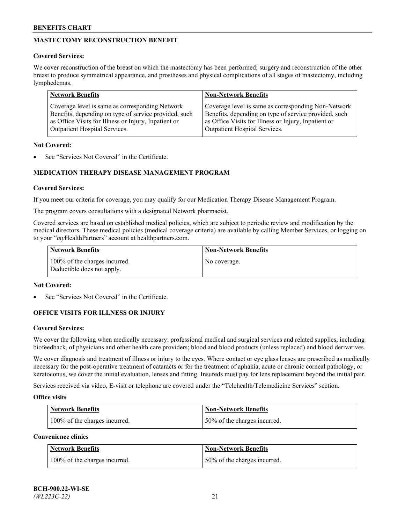# **MASTECTOMY RECONSTRUCTION BENEFIT**

## **Covered Services:**

We cover reconstruction of the breast on which the mastectomy has been performed; surgery and reconstruction of the other breast to produce symmetrical appearance, and prostheses and physical complications of all stages of mastectomy, including lymphedemas.

| <b>Network Benefits</b>                               | <b>Non-Network Benefits</b>                           |
|-------------------------------------------------------|-------------------------------------------------------|
| Coverage level is same as corresponding Network       | Coverage level is same as corresponding Non-Network   |
| Benefits, depending on type of service provided, such | Benefits, depending on type of service provided, such |
| as Office Visits for Illness or Injury, Inpatient or  | as Office Visits for Illness or Injury, Inpatient or  |
| Outpatient Hospital Services.                         | Outpatient Hospital Services.                         |

#### **Not Covered:**

See "Services Not Covered" in the Certificate.

# **MEDICATION THERAPY DISEASE MANAGEMENT PROGRAM**

## **Covered Services:**

If you meet our criteria for coverage, you may qualify for our Medication Therapy Disease Management Program.

The program covers consultations with a designated Network pharmacist.

Covered services are based on established medical policies, which are subject to periodic review and modification by the medical directors. These medical policies (medical coverage criteria) are available by calling Member Services, or logging on to your "*my*HealthPartners" account at [healthpartners.com.](http://www.healthpartners.com/)

| Network Benefits                                            | <b>Non-Network Benefits</b> |
|-------------------------------------------------------------|-----------------------------|
| 100% of the charges incurred.<br>Deductible does not apply. | No coverage.                |

#### **Not Covered:**

See "Services Not Covered" in the Certificate.

## **OFFICE VISITS FOR ILLNESS OR INJURY**

#### **Covered Services:**

We cover the following when medically necessary: professional medical and surgical services and related supplies, including biofeedback, of physicians and other health care providers; blood and blood products (unless replaced) and blood derivatives.

We cover diagnosis and treatment of illness or injury to the eyes. Where contact or eye glass lenses are prescribed as medically necessary for the post-operative treatment of cataracts or for the treatment of aphakia, acute or chronic corneal pathology, or keratoconus, we cover the initial evaluation, lenses and fitting. Insureds must pay for lens replacement beyond the initial pair.

Services received via video, E-visit or telephone are covered under the "Telehealth/Telemedicine Services" section.

#### **Office visits**

| <b>Network Benefits</b>       | <b>Non-Network Benefits</b>  |
|-------------------------------|------------------------------|
| 100% of the charges incurred. | 50% of the charges incurred. |

**Convenience clinics**

| <b>Network Benefits</b>       | <b>Non-Network Benefits</b>   |
|-------------------------------|-------------------------------|
| 100% of the charges incurred. | 150% of the charges incurred. |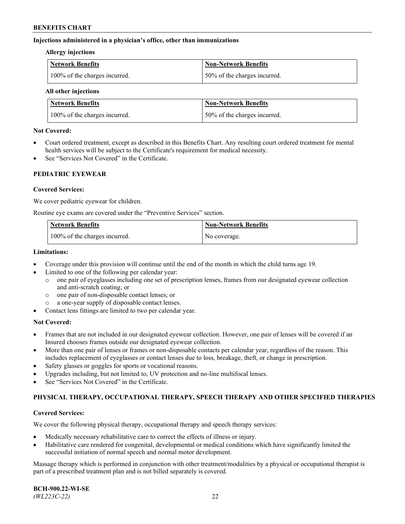#### **Injections administered in a physician's office, other than immunizations**

#### **Allergy injections**

| Network Benefits              | Non-Network Benefits          |
|-------------------------------|-------------------------------|
| 100% of the charges incurred. | 150% of the charges incurred. |

#### **All other injections**

| <b>Network Benefits</b>       | <b>Non-Network Benefits</b>  |
|-------------------------------|------------------------------|
| 100% of the charges incurred. | 50% of the charges incurred. |

#### **Not Covered:**

- Court ordered treatment, except as described in this Benefits Chart. Any resulting court ordered treatment for mental health services will be subject to the Certificate's requirement for medical necessity.
- See "Services Not Covered" in the Certificate.

## **PEDIATRIC EYEWEAR**

#### **Covered Services:**

We cover pediatric eyewear for children.

Routine eye exams are covered under the "Preventive Services" section.

| Network Benefits              | <b>Non-Network Benefits</b> |
|-------------------------------|-----------------------------|
| 100% of the charges incurred. | No coverage.                |

#### **Limitations:**

- Coverage under this provision will continue until the end of the month in which the child turns age 19.
- Limited to one of the following per calendar year:
	- o one pair of eyeglasses including one set of prescription lenses, frames from our designated eyewear collection and anti-scratch coating; or
	- o one pair of non-disposable contact lenses; or
	- o a one-year supply of disposable contact lenses.
- Contact lens fittings are limited to two per calendar year.

## **Not Covered:**

- Frames that are not included in our designated eyewear collection. However, one pair of lenses will be covered if an Insured chooses frames outside our designated eyewear collection.
- More than one pair of lenses or frames or non-disposable contacts per calendar year, regardless of the reason. This includes replacement of eyeglasses or contact lenses due to loss, breakage, theft, or change in prescription.
- Safety glasses or goggles for sports or vocational reasons.
- Upgrades including, but not limited to, UV protection and no-line multifocal lenses.
- See "Services Not Covered" in the Certificate.

## **PHYSICAL THERAPY, OCCUPATIONAL THERAPY, SPEECH THERAPY AND OTHER SPECIFIED THERAPIES**

#### **Covered Services:**

We cover the following physical therapy, occupational therapy and speech therapy services:

- Medically necessary rehabilitative care to correct the effects of illness or injury.
- Habilitative care rendered for congenital, developmental or medical conditions which have significantly limited the successful initiation of normal speech and normal motor development.

Massage therapy which is performed in conjunction with other treatment/modalities by a physical or occupational therapist is part of a prescribed treatment plan and is not billed separately is covered.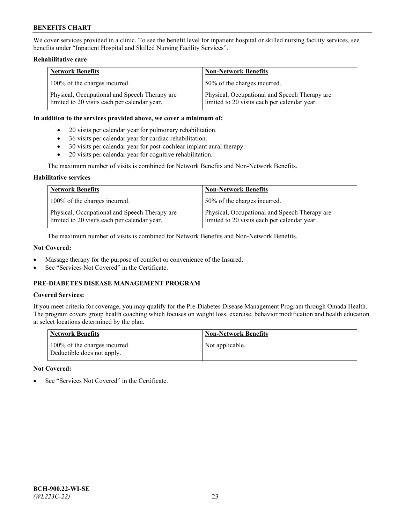We cover services provided in a clinic. To see the benefit level for inpatient hospital or skilled nursing facility services, see benefits under "Inpatient Hospital and Skilled Nursing Facility Services".

#### **Rehabilitative care**

| <b>Network Benefits</b>                                                                       | <b>Non-Network Benefits</b>                                                                   |
|-----------------------------------------------------------------------------------------------|-----------------------------------------------------------------------------------------------|
| 100% of the charges incurred.                                                                 | 50% of the charges incurred.                                                                  |
| Physical, Occupational and Speech Therapy are<br>limited to 20 visits each per calendar year. | Physical, Occupational and Speech Therapy are<br>limited to 20 visits each per calendar year. |

#### **In addition to the services provided above, we cover a minimum of:**

- 20 visits per calendar year for pulmonary rehabilitation.
- 36 visits per calendar year for cardiac rehabilitation.
- 30 visits per calendar year for post-cochlear implant aural therapy.
- 20 visits per calendar year for cognitive rehabilitation.

The maximum number of visits is combined for Network Benefits and Non-Network Benefits.

#### **Habilitative services**

| <b>Network Benefits</b>                                                                       | <b>Non-Network Benefits</b>                                                                   |
|-----------------------------------------------------------------------------------------------|-----------------------------------------------------------------------------------------------|
| 100% of the charges incurred.                                                                 | 50% of the charges incurred.                                                                  |
| Physical, Occupational and Speech Therapy are<br>limited to 20 visits each per calendar year. | Physical, Occupational and Speech Therapy are<br>limited to 20 visits each per calendar year. |

The maximum number of visits is combined for Network Benefits and Non-Network Benefits.

## **Not Covered:**

- Massage therapy for the purpose of comfort or convenience of the Insured.
- See "Services Not Covered" in the Certificate.

# **PRE-DIABETES DISEASE MANAGEMENT PROGRAM**

# **Covered Services:**

If you meet criteria for coverage, you may qualify for the Pre-Diabetes Disease Management Program through Omada Health. The program covers group health coaching which focuses on weight loss, exercise, behavior modification and health education at select locations determined by the plan.

| <b>Network Benefits</b>                                     | <b>Non-Network Benefits</b> |
|-------------------------------------------------------------|-----------------------------|
| 100% of the charges incurred.<br>Deductible does not apply. | Not applicable.             |

## **Not Covered:**

See "Services Not Covered" in the Certificate.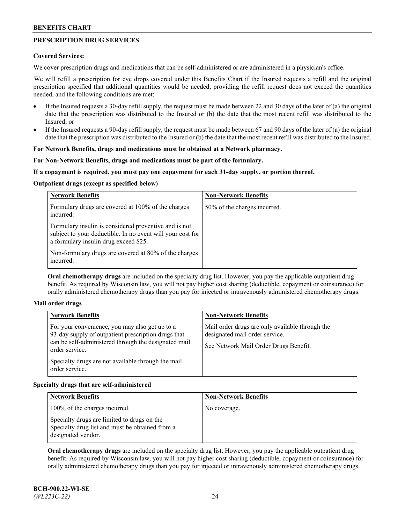# **PRESCRIPTION DRUG SERVICES**

#### **Covered Services:**

We cover prescription drugs and medications that can be self-administered or are administered in a physician's office.

We will refill a prescription for eye drops covered under this Benefits Chart if the Insured requests a refill and the original prescription specified that additional quantities would be needed, providing the refill request does not exceed the quantities needed, and the following conditions are met:

- If the Insured requests a 30-day refill supply, the request must be made between 22 and 30 days of the later of (a) the original date that the prescription was distributed to the Insured or (b) the date that the most recent refill was distributed to the Insured; or
- If the Insured requests a 90-day refill supply, the request must be made between 67 and 90 days of the later of (a) the original date that the prescription was distributed to the Insured or (b) the date that the most recent refill was distributed to the Insured.

## **For Network Benefits, drugs and medications must be obtained at a Network pharmacy.**

#### **For Non-Network Benefits, drugs and medications must be part of the formulary.**

#### **If a copayment is required, you must pay one copayment for each 31-day supply, or portion thereof.**

#### **Outpatient drugs (except as specified below)**

| <b>Network Benefits</b>                                                                                                                                      | <b>Non-Network Benefits</b>  |
|--------------------------------------------------------------------------------------------------------------------------------------------------------------|------------------------------|
| Formulary drugs are covered at 100% of the charges<br>incurred.                                                                                              | 50% of the charges incurred. |
| Formulary insulin is considered preventive and is not<br>subject to your deductible. In no event will your cost for<br>a formulary insulin drug exceed \$25. |                              |
| Non-formulary drugs are covered at 80% of the charges<br>incurred.                                                                                           |                              |

**Oral chemotherapy drugs** are included on the specialty drug list. However, you pay the applicable outpatient drug benefit. As required by Wisconsin law, you will not pay higher cost sharing (deductible, copayment or coinsurance) for orally administered chemotherapy drugs than you pay for injected or intravenously administered chemotherapy drugs.

#### **Mail order drugs**

| For your convenience, you may also get up to a                                                                                                                                                        |                                                                                                                            |
|-------------------------------------------------------------------------------------------------------------------------------------------------------------------------------------------------------|----------------------------------------------------------------------------------------------------------------------------|
| 93-day supply of outpatient prescription drugs that<br>can be self-administered through the designated mail<br>order service.<br>Specialty drugs are not available through the mail<br>order service. | Mail order drugs are only available through the<br>designated mail order service.<br>See Network Mail Order Drugs Benefit. |

## **Specialty drugs that are self-administered**

| <b>Network Benefits</b>                                                                                              | <b>Non-Network Benefits</b> |
|----------------------------------------------------------------------------------------------------------------------|-----------------------------|
| 100% of the charges incurred.                                                                                        | No coverage.                |
| Specialty drugs are limited to drugs on the<br>Specialty drug list and must be obtained from a<br>designated vendor. |                             |

**Oral chemotherapy drugs** are included on the specialty drug list. However, you pay the applicable outpatient drug benefit. As required by Wisconsin law, you will not pay higher cost sharing (deductible, copayment or coinsurance) for orally administered chemotherapy drugs than you pay for injected or intravenously administered chemotherapy drugs.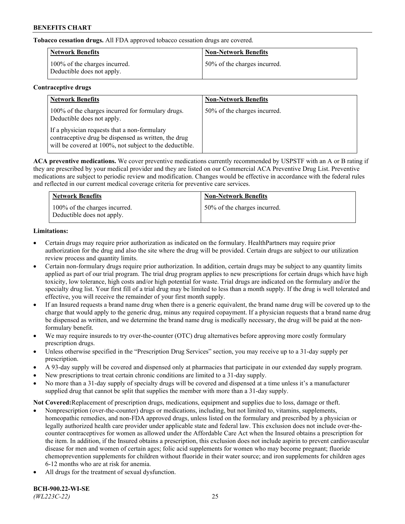**Tobacco cessation drugs.** All FDA approved tobacco cessation drugs are covered.

| <b>Network Benefits</b>                                     | <b>Non-Network Benefits</b>  |
|-------------------------------------------------------------|------------------------------|
| 100% of the charges incurred.<br>Deductible does not apply. | 50% of the charges incurred. |

# **Contraceptive drugs**

| <b>Network Benefits</b>                                                                                                                                         | <b>Non-Network Benefits</b>  |
|-----------------------------------------------------------------------------------------------------------------------------------------------------------------|------------------------------|
| 100% of the charges incurred for formulary drugs.<br>Deductible does not apply.                                                                                 | 50% of the charges incurred. |
| If a physician requests that a non-formulary<br>contraceptive drug be dispensed as written, the drug<br>will be covered at 100%, not subject to the deductible. |                              |

**ACA preventive medications.** We cover preventive medications currently recommended by USPSTF with an A or B rating if they are prescribed by your medical provider and they are listed on our Commercial ACA Preventive Drug List. Preventive medications are subject to periodic review and modification. Changes would be effective in accordance with the federal rules and reflected in our current medical coverage criteria for preventive care services.

| <b>Network Benefits</b>                                     | <b>Non-Network Benefits</b>  |
|-------------------------------------------------------------|------------------------------|
| 100% of the charges incurred.<br>Deductible does not apply. | 50% of the charges incurred. |

# **Limitations:**

- Certain drugs may require prior authorization as indicated on the formulary. HealthPartners may require prior authorization for the drug and also the site where the drug will be provided. Certain drugs are subject to our utilization review process and quantity limits.
- Certain non-formulary drugs require prior authorization. In addition, certain drugs may be subject to any quantity limits applied as part of our trial program. The trial drug program applies to new prescriptions for certain drugs which have high toxicity, low tolerance, high costs and/or high potential for waste. Trial drugs are indicated on the formulary and/or the specialty drug list. Your first fill of a trial drug may be limited to less than a month supply. If the drug is well tolerated and effective, you will receive the remainder of your first month supply.
- If an Insured requests a brand name drug when there is a generic equivalent, the brand name drug will be covered up to the charge that would apply to the generic drug, minus any required copayment. If a physician requests that a brand name drug be dispensed as written, and we determine the brand name drug is medically necessary, the drug will be paid at the nonformulary benefit.
- We may require insureds to try over-the-counter (OTC) drug alternatives before approving more costly formulary prescription drugs.
- Unless otherwise specified in the "Prescription Drug Services" section, you may receive up to a 31-day supply per prescription.
- A 93-day supply will be covered and dispensed only at pharmacies that participate in our extended day supply program.
- New prescriptions to treat certain chronic conditions are limited to a 31-day supply.
- No more than a 31-day supply of specialty drugs will be covered and dispensed at a time unless it's a manufacturer supplied drug that cannot be split that supplies the member with more than a 31-day supply.

**Not Covered:**Replacement of prescription drugs, medications, equipment and supplies due to loss, damage or theft.

- Nonprescription (over-the-counter) drugs or medications, including, but not limited to, vitamins, supplements, homeopathic remedies, and non-FDA approved drugs, unless listed on the formulary and prescribed by a physician or legally authorized health care provider under applicable state and federal law. This exclusion does not include over-thecounter contraceptives for women as allowed under the Affordable Care Act when the Insured obtains a prescription for the item. In addition, if the Insured obtains a prescription, this exclusion does not include aspirin to prevent cardiovascular disease for men and women of certain ages; folic acid supplements for women who may become pregnant; fluoride chemoprevention supplements for children without fluoride in their water source; and iron supplements for children ages 6-12 months who are at risk for anemia.
- All drugs for the treatment of sexual dysfunction.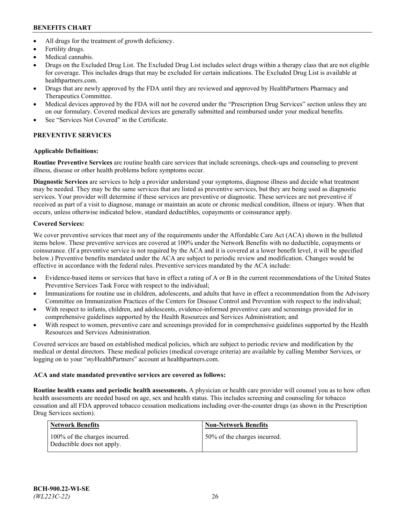- All drugs for the treatment of growth deficiency.
- Fertility drugs.
- Medical cannabis.
- Drugs on the Excluded Drug List. The Excluded Drug List includes select drugs within a therapy class that are not eligible for coverage. This includes drugs that may be excluded for certain indications. The Excluded Drug List is available at [healthpartners.com.](http://www.healthpartners.com/)
- Drugs that are newly approved by the FDA until they are reviewed and approved by HealthPartners Pharmacy and Therapeutics Committee.
- Medical devices approved by the FDA will not be covered under the "Prescription Drug Services" section unless they are on our formulary. Covered medical devices are generally submitted and reimbursed under your medical benefits.
- See "Services Not Covered" in the Certificate.

# **PREVENTIVE SERVICES**

# **Applicable Definitions:**

**Routine Preventive Services** are routine health care services that include screenings, check-ups and counseling to prevent illness, disease or other health problems before symptoms occur.

**Diagnostic Services** are services to help a provider understand your symptoms, diagnose illness and decide what treatment may be needed. They may be the same services that are listed as preventive services, but they are being used as diagnostic services. Your provider will determine if these services are preventive or diagnostic. These services are not preventive if received as part of a visit to diagnose, manage or maintain an acute or chronic medical condition, illness or injury. When that occurs, unless otherwise indicated below, standard deductibles, copayments or coinsurance apply.

# **Covered Services:**

We cover preventive services that meet any of the requirements under the Affordable Care Act (ACA) shown in the bulleted items below. These preventive services are covered at 100% under the Network Benefits with no deductible, copayments or coinsurance. (If a preventive service is not required by the ACA and it is covered at a lower benefit level, it will be specified below.) Preventive benefits mandated under the ACA are subject to periodic review and modification. Changes would be effective in accordance with the federal rules. Preventive services mandated by the ACA include:

- Evidence-based items or services that have in effect a rating of A or B in the current recommendations of the United States Preventive Services Task Force with respect to the individual;
- Immunizations for routine use in children, adolescents, and adults that have in effect a recommendation from the Advisory Committee on Immunization Practices of the Centers for Disease Control and Prevention with respect to the individual;
- With respect to infants, children, and adolescents, evidence-informed preventive care and screenings provided for in comprehensive guidelines supported by the Health Resources and Services Administration; and
- With respect to women, preventive care and screenings provided for in comprehensive guidelines supported by the Health Resources and Services Administration.

Covered services are based on established medical policies, which are subject to periodic review and modification by the medical or dental directors. These medical policies (medical coverage criteria) are available by calling Member Services, or logging on to your "*my*HealthPartners" account at [healthpartners.com.](https://www.healthpartners.com/hp/index.html)

# **ACA and state mandated preventive services are covered as follows:**

**Routine health exams and periodic health assessments.** A physician or health care provider will counsel you as to how often health assessments are needed based on age, sex and health status. This includes screening and counseling for tobacco cessation and all FDA approved tobacco cessation medications including over-the-counter drugs (as shown in the Prescription Drug Services section).

| Network Benefits                                            | <b>Non-Network Benefits</b>  |
|-------------------------------------------------------------|------------------------------|
| 100% of the charges incurred.<br>Deductible does not apply. | 50% of the charges incurred. |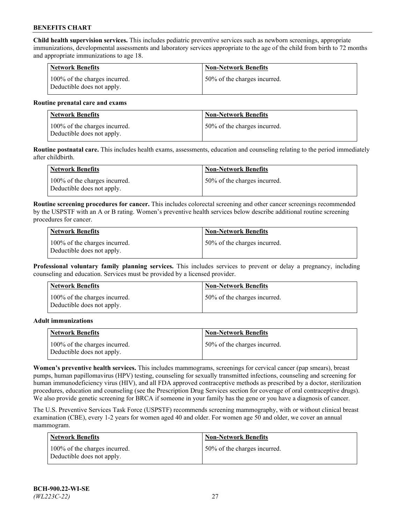**Child health supervision services.** This includes pediatric preventive services such as newborn screenings, appropriate immunizations, developmental assessments and laboratory services appropriate to the age of the child from birth to 72 months and appropriate immunizations to age 18.

| <b>Network Benefits</b>                                     | <b>Non-Network Benefits</b>  |
|-------------------------------------------------------------|------------------------------|
| 100% of the charges incurred.<br>Deductible does not apply. | 50% of the charges incurred. |

#### **Routine prenatal care and exams**

| Network Benefits                                            | <b>Non-Network Benefits</b>  |
|-------------------------------------------------------------|------------------------------|
| 100% of the charges incurred.<br>Deductible does not apply. | 50% of the charges incurred. |

**Routine postnatal care.** This includes health exams, assessments, education and counseling relating to the period immediately after childbirth.

| Network Benefits                                            | <b>Non-Network Benefits</b>  |
|-------------------------------------------------------------|------------------------------|
| 100% of the charges incurred.<br>Deductible does not apply. | 50% of the charges incurred. |

**Routine screening procedures for cancer.** This includes colorectal screening and other cancer screenings recommended by the USPSTF with an A or B rating. Women's preventive health services below describe additional routine screening procedures for cancer.

| <b>Network Benefits</b>                                     | <b>Non-Network Benefits</b>  |
|-------------------------------------------------------------|------------------------------|
| 100% of the charges incurred.<br>Deductible does not apply. | 50% of the charges incurred. |

**Professional voluntary family planning services.** This includes services to prevent or delay a pregnancy, including counseling and education. Services must be provided by a licensed provider.

| <b>Network Benefits</b>                                     | <b>Non-Network Benefits</b>  |
|-------------------------------------------------------------|------------------------------|
| 100% of the charges incurred.<br>Deductible does not apply. | 50% of the charges incurred. |

#### **Adult immunizations**

| <b>Network Benefits</b>                                     | <b>Non-Network Benefits</b>  |
|-------------------------------------------------------------|------------------------------|
| 100% of the charges incurred.<br>Deductible does not apply. | 50% of the charges incurred. |

**Women's preventive health services.** This includes mammograms, screenings for cervical cancer (pap smears), breast pumps, human papillomavirus (HPV) testing, counseling for sexually transmitted infections, counseling and screening for human immunodeficiency virus (HIV), and all FDA approved contraceptive methods as prescribed by a doctor, sterilization procedures, education and counseling (see the Prescription Drug Services section for coverage of oral contraceptive drugs). We also provide genetic screening for BRCA if someone in your family has the gene or you have a diagnosis of cancer.

The U.S. Preventive Services Task Force (USPSTF) recommends screening mammography, with or without clinical breast examination (CBE), every 1-2 years for women aged 40 and older. For women age 50 and older, we cover an annual mammogram.

| <b>Network Benefits</b>                                     | <b>Non-Network Benefits</b>  |
|-------------------------------------------------------------|------------------------------|
| 100% of the charges incurred.<br>Deductible does not apply. | 50% of the charges incurred. |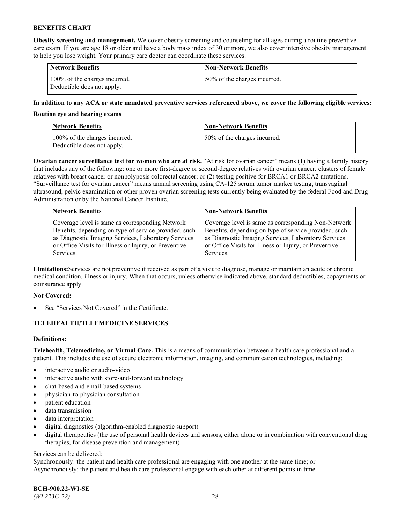**Obesity screening and management.** We cover obesity screening and counseling for all ages during a routine preventive care exam. If you are age 18 or older and have a body mass index of 30 or more, we also cover intensive obesity management to help you lose weight. Your primary care doctor can coordinate these services.

| <b>Network Benefits</b>                                     | <b>Non-Network Benefits</b>  |
|-------------------------------------------------------------|------------------------------|
| 100% of the charges incurred.<br>Deductible does not apply. | 50% of the charges incurred. |

#### **In addition to any ACA or state mandated preventive services referenced above, we cover the following eligible services:**

#### **Routine eye and hearing exams**

| <b>Network Benefits</b>                                     | <b>Non-Network Benefits</b>  |
|-------------------------------------------------------------|------------------------------|
| 100% of the charges incurred.<br>Deductible does not apply. | 50% of the charges incurred. |

**Ovarian cancer surveillance test for women who are at risk.** "At risk for ovarian cancer" means (1) having a family history that includes any of the following: one or more first-degree or second-degree relatives with ovarian cancer, clusters of female relatives with breast cancer or nonpolyposis colorectal cancer; or (2) testing positive for BRCA1 or BRCA2 mutations. "Surveillance test for ovarian cancer" means annual screening using CA-125 serum tumor marker testing, transvaginal ultrasound, pelvic examination or other proven ovarian screening tests currently being evaluated by the federal Food and Drug Administration or by the National Cancer Institute.

| <b>Network Benefits</b>                               | <b>Non-Network Benefits</b>                           |
|-------------------------------------------------------|-------------------------------------------------------|
| Coverage level is same as corresponding Network       | Coverage level is same as corresponding Non-Network   |
| Benefits, depending on type of service provided, such | Benefits, depending on type of service provided, such |
| as Diagnostic Imaging Services, Laboratory Services   | as Diagnostic Imaging Services, Laboratory Services   |
| or Office Visits for Illness or Injury, or Preventive | or Office Visits for Illness or Injury, or Preventive |
| Services.                                             | Services.                                             |

**Limitations:**Services are not preventive if received as part of a visit to diagnose, manage or maintain an acute or chronic medical condition, illness or injury. When that occurs, unless otherwise indicated above, standard deductibles, copayments or coinsurance apply.

#### **Not Covered:**

See "Services Not Covered" in the Certificate.

## **TELEHEALTH/TELEMEDICINE SERVICES**

## **Definitions:**

**Telehealth, Telemedicine, or Virtual Care.** This is a means of communication between a health care professional and a patient. This includes the use of secure electronic information, imaging, and communication technologies, including:

- interactive audio or audio-video
- interactive audio with store-and-forward technology
- chat-based and email-based systems
- physician-to-physician consultation
- patient education
- data transmission
- data interpretation
- digital diagnostics (algorithm-enabled diagnostic support)
- digital therapeutics (the use of personal health devices and sensors, either alone or in combination with conventional drug therapies, for disease prevention and management)

#### Services can be delivered:

Synchronously: the patient and health care professional are engaging with one another at the same time; or Asynchronously: the patient and health care professional engage with each other at different points in time.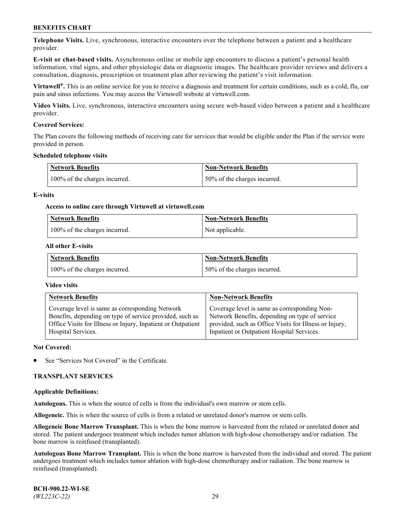**Telephone Visits.** Live, synchronous, interactive encounters over the telephone between a patient and a healthcare provider.

**E-visit or chat-based visits.** Asynchronous online or mobile app encounters to discuss a patient's personal health information, vital signs, and other physiologic data or diagnostic images. The healthcare provider reviews and delivers a consultation, diagnosis, prescription or treatment plan after reviewing the patient's visit information.

**Virtuwell®.** This is an online service for you to receive a diagnosis and treatment for certain conditions, such as a cold, flu, ear pain and sinus infections. You may access the Virtuwell website at [virtuwell.com.](https://www.virtuwell.com/)

**Video Visits.** Live, synchronous, interactive encounters using secure web-based video between a patient and a healthcare provider.

#### **Covered Services:**

The Plan covers the following methods of receiving care for services that would be eligible under the Plan if the service were provided in person.

#### **Scheduled telephone visits**

| <b>Network Benefits</b>       | <b>Non-Network Benefits</b>  |
|-------------------------------|------------------------------|
| 100% of the charges incurred. | 50% of the charges incurred. |

#### **E-visits**

#### **Access to online care through Virtuwell at [virtuwell.com](https://www.virtuwell.com/)**

| <b>Network Benefits</b>       | <b>Non-Network Benefits</b> |
|-------------------------------|-----------------------------|
| 100% of the charges incurred. | Not applicable.             |

#### **All other E-visits**

| Network Benefits              | <b>Non-Network Benefits</b>  |
|-------------------------------|------------------------------|
| 100% of the charges incurred. | 50% of the charges incurred. |

#### **Video visits**

| <b>Network Benefits</b>                                      | <b>Non-Network Benefits</b>                            |
|--------------------------------------------------------------|--------------------------------------------------------|
| Coverage level is same as corresponding Network              | Coverage level is same as corresponding Non-           |
| Benefits, depending on type of service provided, such as     | Network Benefits, depending on type of service         |
| Office Visits for Illness or Injury, Inpatient or Outpatient | provided, such as Office Visits for Illness or Injury, |
| Hospital Services.                                           | Inpatient or Outpatient Hospital Services.             |

#### **Not Covered:**

See "Services Not Covered" in the Certificate.

## **TRANSPLANT SERVICES**

#### **Applicable Definitions:**

**Autologous.** This is when the source of cells is from the individual's own marrow or stem cells.

**Allogeneic.** This is when the source of cells is from a related or unrelated donor's marrow or stem cells.

**Allogeneic Bone Marrow Transplant.** This is when the bone marrow is harvested from the related or unrelated donor and stored. The patient undergoes treatment which includes tumor ablation with high-dose chemotherapy and/or radiation. The bone marrow is reinfused (transplanted).

**Autologous Bone Marrow Transplant.** This is when the bone marrow is harvested from the individual and stored. The patient undergoes treatment which includes tumor ablation with high-dose chemotherapy and/or radiation. The bone marrow is reinfused (transplanted).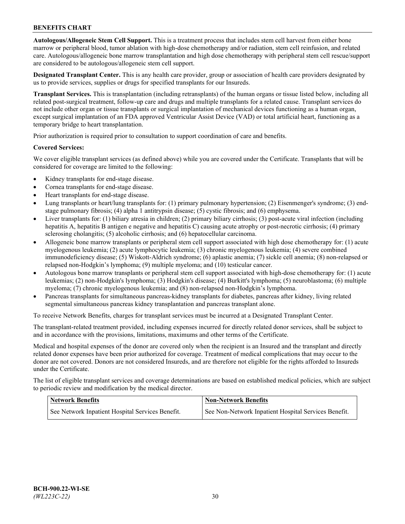**Autologous/Allogeneic Stem Cell Support.** This is a treatment process that includes stem cell harvest from either bone marrow or peripheral blood, tumor ablation with high-dose chemotherapy and/or radiation, stem cell reinfusion, and related care. Autologous/allogeneic bone marrow transplantation and high dose chemotherapy with peripheral stem cell rescue/support are considered to be autologous/allogeneic stem cell support.

**Designated Transplant Center.** This is any health care provider, group or association of health care providers designated by us to provide services, supplies or drugs for specified transplants for our Insureds.

**Transplant Services.** This is transplantation (including retransplants) of the human organs or tissue listed below, including all related post-surgical treatment, follow-up care and drugs and multiple transplants for a related cause. Transplant services do not include other organ or tissue transplants or surgical implantation of mechanical devices functioning as a human organ, except surgical implantation of an FDA approved Ventricular Assist Device (VAD) or total artificial heart, functioning as a temporary bridge to heart transplantation.

Prior authorization is required prior to consultation to support coordination of care and benefits.

#### **Covered Services:**

We cover eligible transplant services (as defined above) while you are covered under the Certificate. Transplants that will be considered for coverage are limited to the following:

- Kidney transplants for end-stage disease.
- Cornea transplants for end-stage disease.
- Heart transplants for end-stage disease.
- Lung transplants or heart/lung transplants for: (1) primary pulmonary hypertension; (2) Eisenmenger's syndrome; (3) endstage pulmonary fibrosis; (4) alpha 1 antitrypsin disease; (5) cystic fibrosis; and (6) emphysema.
- Liver transplants for: (1) biliary atresia in children; (2) primary biliary cirrhosis; (3) post-acute viral infection (including hepatitis A, hepatitis B antigen e negative and hepatitis C) causing acute atrophy or post-necrotic cirrhosis; (4) primary sclerosing cholangitis; (5) alcoholic cirrhosis; and (6) hepatocellular carcinoma.
- Allogeneic bone marrow transplants or peripheral stem cell support associated with high dose chemotherapy for: (1) acute myelogenous leukemia; (2) acute lymphocytic leukemia; (3) chronic myelogenous leukemia; (4) severe combined immunodeficiency disease; (5) Wiskott-Aldrich syndrome; (6) aplastic anemia; (7) sickle cell anemia; (8) non-relapsed or relapsed non-Hodgkin's lymphoma; (9) multiple myeloma; and (10) testicular cancer.
- Autologous bone marrow transplants or peripheral stem cell support associated with high-dose chemotherapy for: (1) acute leukemias; (2) non-Hodgkin's lymphoma; (3) Hodgkin's disease; (4) Burkitt's lymphoma; (5) neuroblastoma; (6) multiple myeloma; (7) chronic myelogenous leukemia; and (8) non-relapsed non-Hodgkin's lymphoma.
- Pancreas transplants for simultaneous pancreas-kidney transplants for diabetes, pancreas after kidney, living related segmental simultaneous pancreas kidney transplantation and pancreas transplant alone.

To receive Network Benefits, charges for transplant services must be incurred at a Designated Transplant Center.

The transplant-related treatment provided, including expenses incurred for directly related donor services, shall be subject to and in accordance with the provisions, limitations, maximums and other terms of the Certificate.

Medical and hospital expenses of the donor are covered only when the recipient is an Insured and the transplant and directly related donor expenses have been prior authorized for coverage. Treatment of medical complications that may occur to the donor are not covered. Donors are not considered Insureds, and are therefore not eligible for the rights afforded to Insureds under the Certificate.

The list of eligible transplant services and coverage determinations are based on established medical policies, which are subject to periodic review and modification by the medical director.

| <b>Network Benefits</b>                          | <b>Non-Network Benefits</b>                          |
|--------------------------------------------------|------------------------------------------------------|
| See Network Inpatient Hospital Services Benefit. | See Non-Network Inpatient Hospital Services Benefit. |